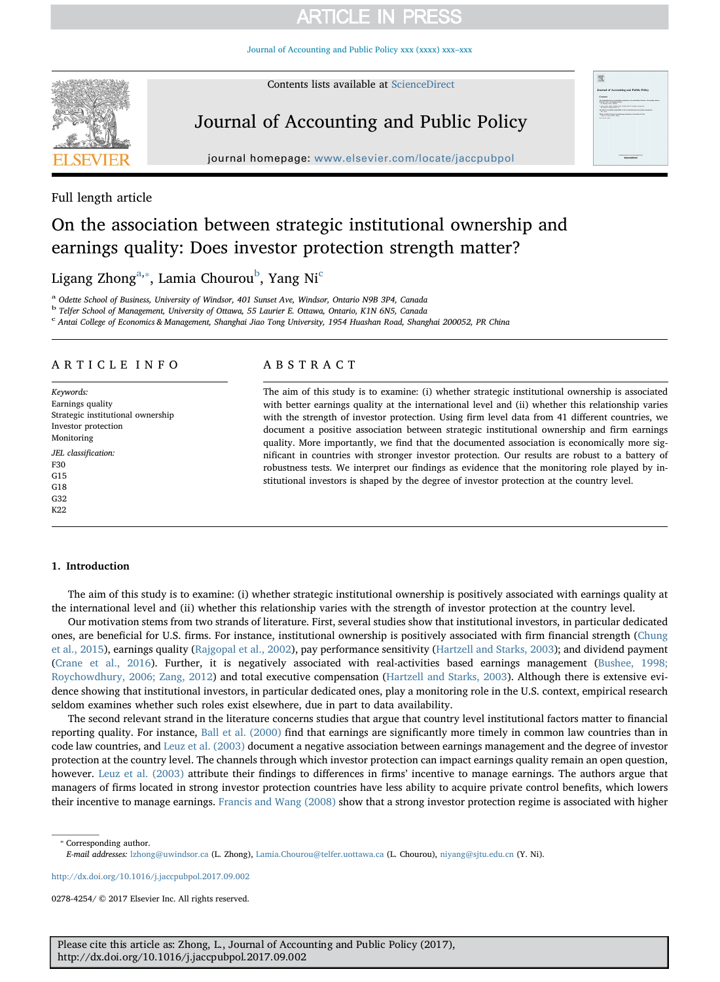[Journal of Accounting and Public Policy xxx \(xxxx\) xxx–xxx](http://dx.doi.org/10.1016/j.jaccpubpol.2017.09.002)



Contents lists available at [ScienceDirect](http://www.sciencedirect.com/science/journal/02784254)

# Journal of Accounting and Public Policy



Full length article

# On the association between strategic institutional ownership and earnings quality: Does investor protection strength matter?

Lig[a](#page-0-0)ng Zhong<sup>a,</sup>\*, Lamia Chourou<sup>[b](#page-0-2)</sup>, Yang Ni<sup>[c](#page-0-3)</sup>

<span id="page-0-0"></span><sup>a</sup> Odette School of Business, University of Windsor, 401 Sunset Ave, Windsor, Ontario N9B 3P4, Canada

<span id="page-0-2"></span><sup>b</sup> Telfer School of Management, University of Ottawa, 55 Laurier E. Ottawa, Ontario, K1N 6N5, Canada

<span id="page-0-3"></span><sup>c</sup> Antai College of Economics & Management, Shanghai Jiao Tong University, 1954 Huashan Road, Shanghai 200052, PR China

### ARTICLE INFO

Keywords: Earnings quality Strategic institutional ownership Investor protection Monitoring JEL classification: F30 G15 G18 G32 K22

### ABSTRACT

The aim of this study is to examine: (i) whether strategic institutional ownership is associated with better earnings quality at the international level and (ii) whether this relationship varies with the strength of investor protection. Using firm level data from 41 different countries, we document a positive association between strategic institutional ownership and firm earnings quality. More importantly, we find that the documented association is economically more significant in countries with stronger investor protection. Our results are robust to a battery of robustness tests. We interpret our findings as evidence that the monitoring role played by institutional investors is shaped by the degree of investor protection at the country level.

### 1. Introduction

The aim of this study is to examine: (i) whether strategic institutional ownership is positively associated with earnings quality at the international level and (ii) whether this relationship varies with the strength of investor protection at the country level.

Our motivation stems from two strands of literature. First, several studies show that institutional investors, in particular dedicated ones, are beneficial for U.S. firms. For instance, institutional ownership is positively associated with firm financial strength [\(Chung](#page-21-0) [et al., 2015\)](#page-21-0), earnings quality ([Rajgopal et al., 2002](#page-21-1)), pay performance sensitivity ([Hartzell and Starks, 2003](#page-21-2)); and dividend payment ([Crane et al., 2016](#page-21-3)). Further, it is negatively associated with real-activities based earnings management ([Bushee, 1998;](#page-21-4) [Roychowdhury, 2006; Zang, 2012\)](#page-21-4) and total executive compensation [\(Hartzell and Starks, 2003\)](#page-21-2). Although there is extensive evidence showing that institutional investors, in particular dedicated ones, play a monitoring role in the U.S. context, empirical research seldom examines whether such roles exist elsewhere, due in part to data availability.

The second relevant strand in the literature concerns studies that argue that country level institutional factors matter to financial reporting quality. For instance, [Ball et al. \(2000\)](#page-20-0) find that earnings are significantly more timely in common law countries than in code law countries, and [Leuz et al. \(2003\)](#page-21-5) document a negative association between earnings management and the degree of investor protection at the country level. The channels through which investor protection can impact earnings quality remain an open question, however. [Leuz et al. \(2003\)](#page-21-5) attribute their findings to differences in firms' incentive to manage earnings. The authors argue that managers of firms located in strong investor protection countries have less ability to acquire private control benefits, which lowers their incentive to manage earnings. [Francis and Wang \(2008\)](#page-21-6) show that a strong investor protection regime is associated with higher

<span id="page-0-1"></span>⁎ Corresponding author.

E-mail addresses: [lzhong@uwindsor.ca](mailto:lzhong@uwindsor.ca) (L. Zhong), [Lamia.Chourou@telfer.uottawa.ca](mailto:Lamia.Chourou@telfer.uottawa.ca) (L. Chourou), [niyang@sjtu.edu.cn](mailto:niyang@sjtu.edu.cn) (Y. Ni).

<http://dx.doi.org/10.1016/j.jaccpubpol.2017.09.002>

0278-4254/ © 2017 Elsevier Inc. All rights reserved.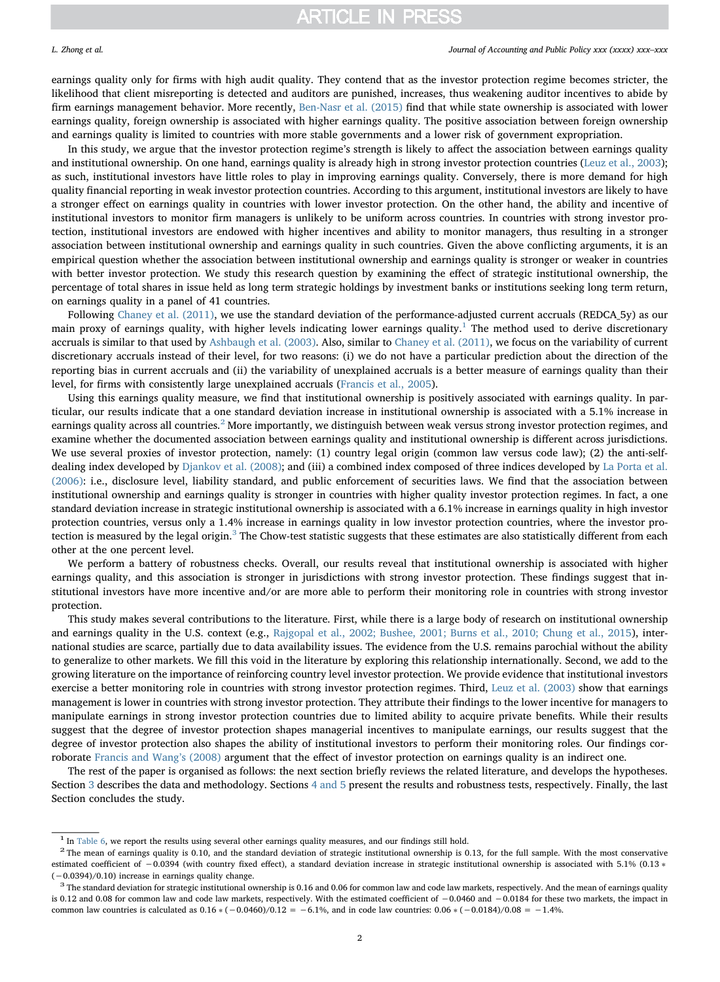#### L. Zhong et al. *Journal of Accounting and Public Policy xxx (xxxx) xxx–xxx*

earnings quality only for firms with high audit quality. They contend that as the investor protection regime becomes stricter, the likelihood that client misreporting is detected and auditors are punished, increases, thus weakening auditor incentives to abide by firm earnings management behavior. More recently, [Ben-Nasr et al. \(2015\)](#page-20-1) find that while state ownership is associated with lower earnings quality, foreign ownership is associated with higher earnings quality. The positive association between foreign ownership and earnings quality is limited to countries with more stable governments and a lower risk of government expropriation.

In this study, we argue that the investor protection regime's strength is likely to affect the association between earnings quality and institutional ownership. On one hand, earnings quality is already high in strong investor protection countries ([Leuz et al., 2003](#page-21-5)); as such, institutional investors have little roles to play in improving earnings quality. Conversely, there is more demand for high quality financial reporting in weak investor protection countries. According to this argument, institutional investors are likely to have a stronger effect on earnings quality in countries with lower investor protection. On the other hand, the ability and incentive of institutional investors to monitor firm managers is unlikely to be uniform across countries. In countries with strong investor protection, institutional investors are endowed with higher incentives and ability to monitor managers, thus resulting in a stronger association between institutional ownership and earnings quality in such countries. Given the above conflicting arguments, it is an empirical question whether the association between institutional ownership and earnings quality is stronger or weaker in countries with better investor protection. We study this research question by examining the effect of strategic institutional ownership, the percentage of total shares in issue held as long term strategic holdings by investment banks or institutions seeking long term return, on earnings quality in a panel of 41 countries.

Following [Chaney et al. \(2011\)](#page-21-7), we use the standard deviation of the performance-adjusted current accruals (REDCA\_5y) as our main proxy of earnings quality, with higher levels indicating lower earnings quality.<sup>[1](#page-1-0)</sup> The method used to derive discretionary accruals is similar to that used by [Ashbaugh et al. \(2003\).](#page-20-2) Also, similar to [Chaney et al. \(2011\)](#page-21-7), we focus on the variability of current discretionary accruals instead of their level, for two reasons: (i) we do not have a particular prediction about the direction of the reporting bias in current accruals and (ii) the variability of unexplained accruals is a better measure of earnings quality than their level, for firms with consistently large unexplained accruals ([Francis et al., 2005](#page-21-8)).

Using this earnings quality measure, we find that institutional ownership is positively associated with earnings quality. In particular, our results indicate that a one standard deviation increase in institutional ownership is associated with a 5.1% increase in earnings quality across all countries.<sup>[2](#page-1-1)</sup> More importantly, we distinguish between weak versus strong investor protection regimes, and examine whether the documented association between earnings quality and institutional ownership is different across jurisdictions. We use several proxies of investor protection, namely: (1) country legal origin (common law versus code law); (2) the anti-selfdealing index developed by [Djankov et al. \(2008\)](#page-21-9); and (iii) a combined index composed of three indices developed by [La Porta et al.](#page-21-10) [\(2006\):](#page-21-10) i.e., disclosure level, liability standard, and public enforcement of securities laws. We find that the association between institutional ownership and earnings quality is stronger in countries with higher quality investor protection regimes. In fact, a one standard deviation increase in strategic institutional ownership is associated with a 6.1% increase in earnings quality in high investor protection countries, versus only a 1.4% increase in earnings quality in low investor protection countries, where the investor pro-tection is measured by the legal origin.<sup>[3](#page-1-2)</sup> The Chow-test statistic suggests that these estimates are also statistically different from each other at the one percent level.

We perform a battery of robustness checks. Overall, our results reveal that institutional ownership is associated with higher earnings quality, and this association is stronger in jurisdictions with strong investor protection. These findings suggest that institutional investors have more incentive and/or are more able to perform their monitoring role in countries with strong investor protection.

This study makes several contributions to the literature. First, while there is a large body of research on institutional ownership and earnings quality in the U.S. context (e.g., [Rajgopal et al., 2002; Bushee, 2001; Burns et al., 2010; Chung et al., 2015\)](#page-21-1), international studies are scarce, partially due to data availability issues. The evidence from the U.S. remains parochial without the ability to generalize to other markets. We fill this void in the literature by exploring this relationship internationally. Second, we add to the growing literature on the importance of reinforcing country level investor protection. We provide evidence that institutional investors exercise a better monitoring role in countries with strong investor protection regimes. Third, [Leuz et al. \(2003\)](#page-21-5) show that earnings management is lower in countries with strong investor protection. They attribute their findings to the lower incentive for managers to manipulate earnings in strong investor protection countries due to limited ability to acquire private benefits. While their results suggest that the degree of investor protection shapes managerial incentives to manipulate earnings, our results suggest that the degree of investor protection also shapes the ability of institutional investors to perform their monitoring roles. Our findings corroborate [Francis and Wang](#page-21-6)'s (2008) argument that the effect of investor protection on earnings quality is an indirect one.

The rest of the paper is organised as follows: the next section briefly reviews the related literature, and develops the hypotheses. Section [3](#page-3-0) describes the data and methodology. Sections [4 and 5](#page-7-0) present the results and robustness tests, respectively. Finally, the last Section concludes the study.

<span id="page-1-1"></span>

<span id="page-1-0"></span> $^1$  In [Table 6,](#page-10-0) we report the results using several other earnings quality measures, and our findings still hold.  $^2$  The mean of earnings quality is 0.10, and the standard deviation of strategic institutional ownership estimated coefficient of −0.0394 (with country fixed effect), a standard deviation increase in strategic institutional ownership is associated with 5.1% (0.13 \* (−0.0394)/0.10) increase in earnings quality change.

<span id="page-1-2"></span> $3$  The standard deviation for strategic institutional ownership is 0.16 and 0.06 for common law and code law markets, respectively. And the mean of earnings quality is 0.12 and 0.08 for common law and code law markets, respectively. With the estimated coefficient of −0.0460 and −0.0184 for these two markets, the impact in common law countries is calculated as  $0.16 * (-0.0460)/0.12 = -6.1\%$ , and in code law countries:  $0.06 * (-0.0184)/0.08 = -1.4\%$ .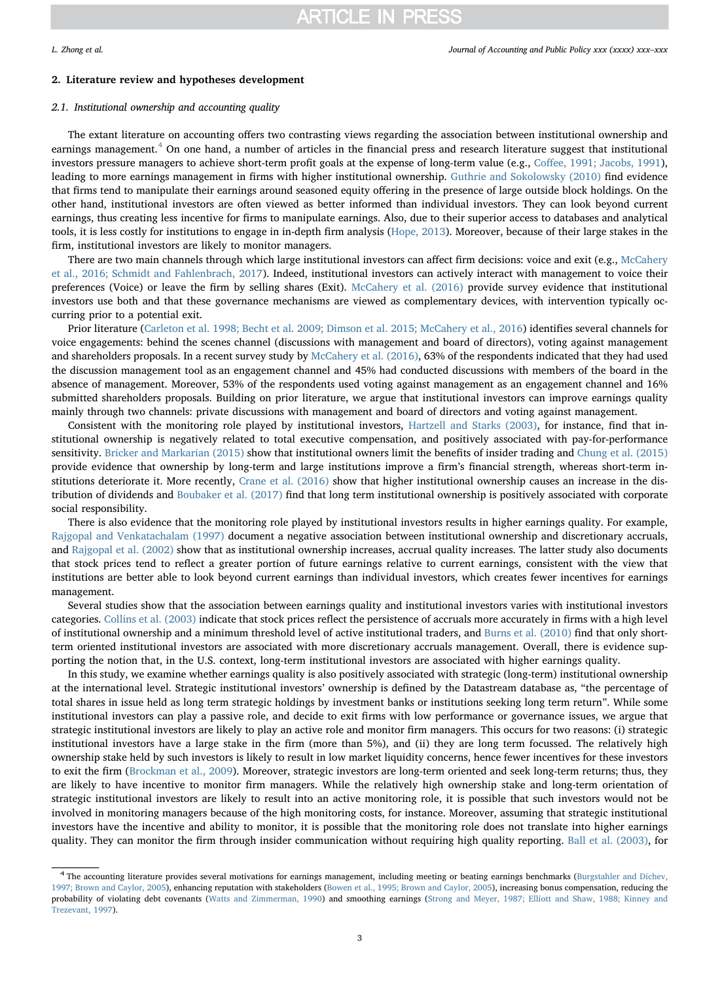### 2. Literature review and hypotheses development

### 2.1. Institutional ownership and accounting quality

The extant literature on accounting offers two contrasting views regarding the association between institutional ownership and earnings management.<sup>[4](#page-2-0)</sup> On one hand, a number of articles in the financial press and research literature suggest that institutional investors pressure managers to achieve short-term profit goals at the expense of long-term value (e.g., Coff[ee, 1991; Jacobs, 1991\)](#page-21-11), leading to more earnings management in firms with higher institutional ownership. [Guthrie and Sokolowsky \(2010\)](#page-21-12) find evidence that firms tend to manipulate their earnings around seasoned equity offering in the presence of large outside block holdings. On the other hand, institutional investors are often viewed as better informed than individual investors. They can look beyond current earnings, thus creating less incentive for firms to manipulate earnings. Also, due to their superior access to databases and analytical tools, it is less costly for institutions to engage in in-depth firm analysis ([Hope, 2013\)](#page-21-13). Moreover, because of their large stakes in the firm, institutional investors are likely to monitor managers.

There are two main channels through which large institutional investors can affect firm decisions: voice and exit (e.g., [McCahery](#page-21-14) [et al., 2016; Schmidt and Fahlenbrach, 2017\)](#page-21-14). Indeed, institutional investors can actively interact with management to voice their preferences (Voice) or leave the firm by selling shares (Exit). [McCahery et al. \(2016\)](#page-21-14) provide survey evidence that institutional investors use both and that these governance mechanisms are viewed as complementary devices, with intervention typically occurring prior to a potential exit.

Prior literature [\(Carleton et al. 1998; Becht et al. 2009; Dimson et al. 2015; McCahery et al., 2016](#page-21-15)) identifies several channels for voice engagements: behind the scenes channel (discussions with management and board of directors), voting against management and shareholders proposals. In a recent survey study by [McCahery et al. \(2016\)](#page-21-14), 63% of the respondents indicated that they had used the discussion management tool as an engagement channel and 45% had conducted discussions with members of the board in the absence of management. Moreover, 53% of the respondents used voting against management as an engagement channel and 16% submitted shareholders proposals. Building on prior literature, we argue that institutional investors can improve earnings quality mainly through two channels: private discussions with management and board of directors and voting against management.

Consistent with the monitoring role played by institutional investors, [Hartzell and Starks \(2003\)](#page-21-2), for instance, find that institutional ownership is negatively related to total executive compensation, and positively associated with pay-for-performance sensitivity. [Bricker and Markarian \(2015\)](#page-20-3) show that institutional owners limit the benefits of insider trading and [Chung et al. \(2015\)](#page-21-0) provide evidence that ownership by long-term and large institutions improve a firm's financial strength, whereas short-term institutions deteriorate it. More recently, [Crane et al. \(2016\)](#page-21-3) show that higher institutional ownership causes an increase in the distribution of dividends and [Boubaker et al. \(2017\)](#page-20-4) find that long term institutional ownership is positively associated with corporate social responsibility.

There is also evidence that the monitoring role played by institutional investors results in higher earnings quality. For example, [Rajgopal and Venkatachalam \(1997\)](#page-21-16) document a negative association between institutional ownership and discretionary accruals, and [Rajgopal et al. \(2002\)](#page-21-1) show that as institutional ownership increases, accrual quality increases. The latter study also documents that stock prices tend to reflect a greater portion of future earnings relative to current earnings, consistent with the view that institutions are better able to look beyond current earnings than individual investors, which creates fewer incentives for earnings management.

Several studies show that the association between earnings quality and institutional investors varies with institutional investors categories. [Collins et al. \(2003\)](#page-21-17) indicate that stock prices reflect the persistence of accruals more accurately in firms with a high level of institutional ownership and a minimum threshold level of active institutional traders, and [Burns et al. \(2010\)](#page-21-18) find that only shortterm oriented institutional investors are associated with more discretionary accruals management. Overall, there is evidence supporting the notion that, in the U.S. context, long-term institutional investors are associated with higher earnings quality.

In this study, we examine whether earnings quality is also positively associated with strategic (long-term) institutional ownership at the international level. Strategic institutional investors' ownership is defined by the Datastream database as, "the percentage of total shares in issue held as long term strategic holdings by investment banks or institutions seeking long term return". While some institutional investors can play a passive role, and decide to exit firms with low performance or governance issues, we argue that strategic institutional investors are likely to play an active role and monitor firm managers. This occurs for two reasons: (i) strategic institutional investors have a large stake in the firm (more than 5%), and (ii) they are long term focussed. The relatively high ownership stake held by such investors is likely to result in low market liquidity concerns, hence fewer incentives for these investors to exit the firm ([Brockman et al., 2009\)](#page-20-5). Moreover, strategic investors are long-term oriented and seek long-term returns; thus, they are likely to have incentive to monitor firm managers. While the relatively high ownership stake and long-term orientation of strategic institutional investors are likely to result into an active monitoring role, it is possible that such investors would not be involved in monitoring managers because of the high monitoring costs, for instance. Moreover, assuming that strategic institutional investors have the incentive and ability to monitor, it is possible that the monitoring role does not translate into higher earnings quality. They can monitor the firm through insider communication without requiring high quality reporting. [Ball et al. \(2003\)](#page-20-6), for

<span id="page-2-0"></span><sup>&</sup>lt;sup>4</sup> The accounting literature provides several motivations for earnings management, including meeting or beating earnings benchmarks [\(Burgstahler and Dichev,](#page-21-19) [1997; Brown and Caylor, 2005\)](#page-21-19), enhancing reputation with stakeholders [\(Bowen et al., 1995; Brown and Caylor, 2005](#page-20-7)), increasing bonus compensation, reducing the probability of violating debt covenants ([Watts and Zimmerman, 1990\)](#page-21-20) and smoothing earnings ([Strong and Meyer, 1987; Elliott and Shaw, 1988; Kinney and](#page-21-21) [Trezevant, 1997](#page-21-21)).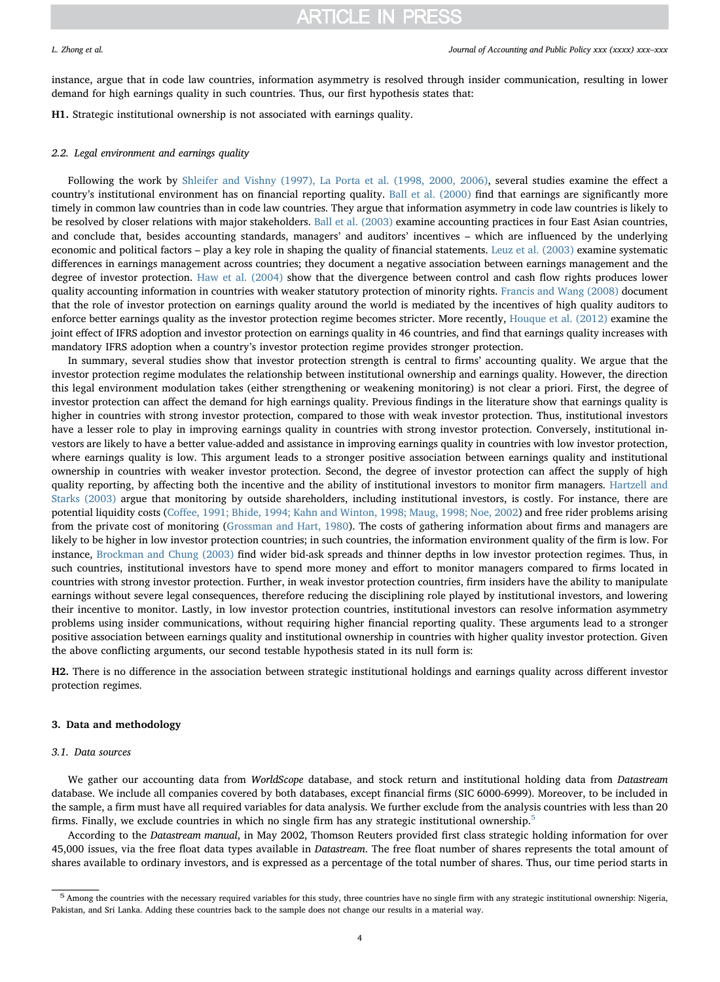#### L. Zhong et al. *Journal of Accounting and Public Policy xxx (xxxx) xxx–xxx*

instance, argue that in code law countries, information asymmetry is resolved through insider communication, resulting in lower demand for high earnings quality in such countries. Thus, our first hypothesis states that:

H1. Strategic institutional ownership is not associated with earnings quality.

### 2.2. Legal environment and earnings quality

Following the work by [Shleifer and Vishny \(1997\), La Porta et al. \(1998, 2000, 2006\)](#page-21-22), several studies examine the effect a country's institutional environment has on financial reporting quality. [Ball et al. \(2000\)](#page-20-0) find that earnings are significantly more timely in common law countries than in code law countries. They argue that information asymmetry in code law countries is likely to be resolved by closer relations with major stakeholders. [Ball et al. \(2003\)](#page-20-6) examine accounting practices in four East Asian countries, and conclude that, besides accounting standards, managers' and auditors' incentives – which are influenced by the underlying economic and political factors – play a key role in shaping the quality of financial statements. [Leuz et al. \(2003\)](#page-21-5) examine systematic differences in earnings management across countries; they document a negative association between earnings management and the degree of investor protection. [Haw et al. \(2004\)](#page-21-23) show that the divergence between control and cash flow rights produces lower quality accounting information in countries with weaker statutory protection of minority rights. [Francis and Wang \(2008\)](#page-21-6) document that the role of investor protection on earnings quality around the world is mediated by the incentives of high quality auditors to enforce better earnings quality as the investor protection regime becomes stricter. More recently, [Houque et al. \(2012\)](#page-21-24) examine the joint effect of IFRS adoption and investor protection on earnings quality in 46 countries, and find that earnings quality increases with mandatory IFRS adoption when a country's investor protection regime provides stronger protection.

In summary, several studies show that investor protection strength is central to firms' accounting quality. We argue that the investor protection regime modulates the relationship between institutional ownership and earnings quality. However, the direction this legal environment modulation takes (either strengthening or weakening monitoring) is not clear a priori. First, the degree of investor protection can affect the demand for high earnings quality. Previous findings in the literature show that earnings quality is higher in countries with strong investor protection, compared to those with weak investor protection. Thus, institutional investors have a lesser role to play in improving earnings quality in countries with strong investor protection. Conversely, institutional investors are likely to have a better value-added and assistance in improving earnings quality in countries with low investor protection, where earnings quality is low. This argument leads to a stronger positive association between earnings quality and institutional ownership in countries with weaker investor protection. Second, the degree of investor protection can affect the supply of high quality reporting, by affecting both the incentive and the ability of institutional investors to monitor firm managers. [Hartzell and](#page-21-2) [Starks \(2003\)](#page-21-2) argue that monitoring by outside shareholders, including institutional investors, is costly. For instance, there are potential liquidity costs (Coff[ee, 1991; Bhide, 1994; Kahn and Winton, 1998; Maug, 1998; Noe, 2002](#page-21-11)) and free rider problems arising from the private cost of monitoring ([Grossman and Hart, 1980\)](#page-21-25). The costs of gathering information about firms and managers are likely to be higher in low investor protection countries; in such countries, the information environment quality of the firm is low. For instance, [Brockman and Chung \(2003\)](#page-20-8) find wider bid-ask spreads and thinner depths in low investor protection regimes. Thus, in such countries, institutional investors have to spend more money and effort to monitor managers compared to firms located in countries with strong investor protection. Further, in weak investor protection countries, firm insiders have the ability to manipulate earnings without severe legal consequences, therefore reducing the disciplining role played by institutional investors, and lowering their incentive to monitor. Lastly, in low investor protection countries, institutional investors can resolve information asymmetry problems using insider communications, without requiring higher financial reporting quality. These arguments lead to a stronger positive association between earnings quality and institutional ownership in countries with higher quality investor protection. Given the above conflicting arguments, our second testable hypothesis stated in its null form is:

H2. There is no difference in the association between strategic institutional holdings and earnings quality across different investor protection regimes.

### <span id="page-3-0"></span>3. Data and methodology

### 3.1. Data sources

We gather our accounting data from WorldScope database, and stock return and institutional holding data from Datastream database. We include all companies covered by both databases, except financial firms (SIC 6000-6999). Moreover, to be included in the sample, a firm must have all required variables for data analysis. We further exclude from the analysis countries with less than 20 firms. Finally, we exclude countries in which no single firm has any strategic institutional ownership.[5](#page-3-1)

According to the Datastream manual, in May 2002, Thomson Reuters provided first class strategic holding information for over 45,000 issues, via the free float data types available in Datastream. The free float number of shares represents the total amount of shares available to ordinary investors, and is expressed as a percentage of the total number of shares. Thus, our time period starts in

<span id="page-3-1"></span><sup>5</sup> Among the countries with the necessary required variables for this study, three countries have no single firm with any strategic institutional ownership: Nigeria, Pakistan, and Sri Lanka. Adding these countries back to the sample does not change our results in a material way.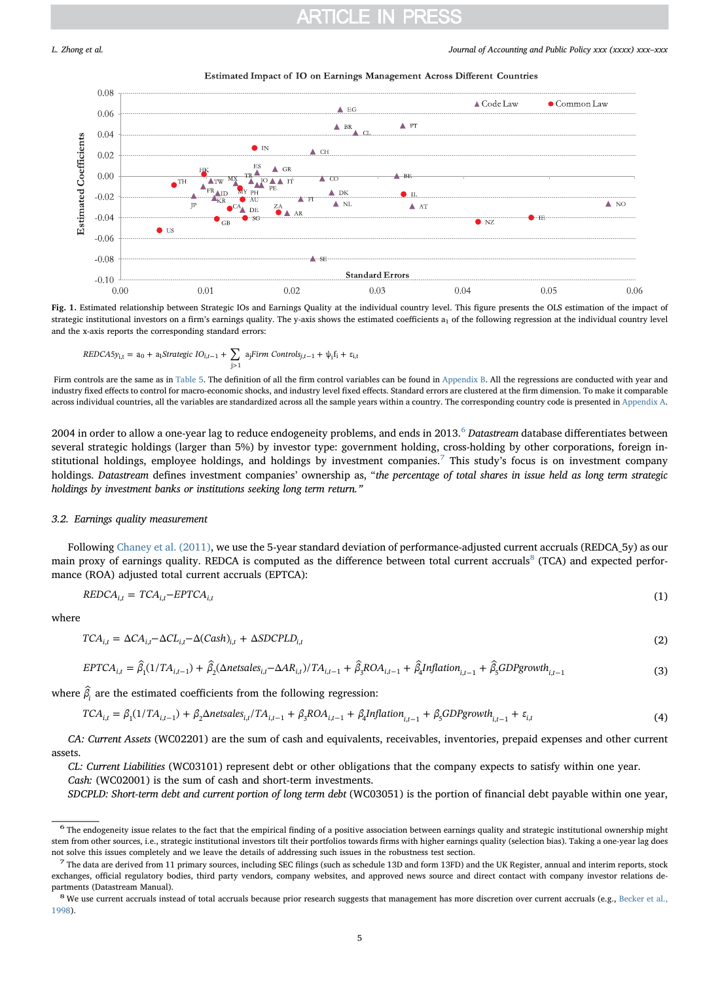### L. Zhong et al. *Journal of Accounting and Public Policy xxx (xxxx) xxx–xxx*

### Estimated Impact of IO on Earnings Management Across Different Countries

<span id="page-4-4"></span>

Fig. 1. Estimated relationship between Strategic IOs and Earnings Quality at the individual country level. This figure presents the OLS estimation of the impact of strategic institutional investors on a firm's earnings quality. The y-axis shows the estimated coefficients  $a_1$  of the following regression at the individual country level and the x-axis reports the corresponding standard errors:

$$
REDCASy_{i,t} = a_0 + a_1Strategyic IO_{i,t-1} + \sum_{j>1} a_j Firm\ Controls_{j,t-1} + \psi_i f_i + \varepsilon_{i,t}
$$

Firm controls are the same as in [Table 5.](#page-9-0) The definition of all the firm control variables can be found in [Appendix B](#page-19-0). All the regressions are conducted with year and industry fixed effects to control for macro-economic shocks, and industry level fixed effects. Standard errors are clustered at the firm dimension. To make it comparable across individual countries, all the variables are standardized across all the sample years within a country. The corresponding country code is presented in [Appendix A](#page-19-1).

2004 in order to allow a one-year lag to reduce endogeneity problems, and ends in 2013.<sup>[6](#page-4-0)</sup> Datastream database differentiates between several strategic holdings (larger than 5%) by investor type: government holding, cross-holding by other corporations, foreign in-stitutional holdings, employee holdings, and holdings by investment companies.<sup>[7](#page-4-1)</sup> This study's focus is on investment company holdings. Datastream defines investment companies' ownership as, "the percentage of total shares in issue held as long term strategic holdings by investment banks or institutions seeking long term return."

### 3.2. Earnings quality measurement

<span id="page-4-5"></span>Following [Chaney et al. \(2011\)](#page-21-7), we use the 5-year standard deviation of performance-adjusted current accruals (REDCA\_5y) as our main proxy of earnings quality. REDCA is computed as the difference between total current accruals<sup>[8](#page-4-2)</sup> (TCA) and expected performance (ROA) adjusted total current accruals (EPTCA):

$$
REDCA_{i,t} = TCA_{i,t} - EPTCA_{i,t} \tag{1}
$$

<span id="page-4-6"></span><span id="page-4-3"></span>where

$$
TCA_{i,t} = \Delta CA_{i,t} - \Delta CL_{i,t} - \Delta (Cash)_{i,t} + \Delta SDCPLD_{i,t}
$$
\n
$$
(2)
$$

$$
EPTCA_{i,t} = \hat{\beta}_1(1/TA_{i,t-1}) + \hat{\beta}_2(\Delta net sales_{i,t} - \Delta AR_{i,t})/TA_{i,t-1} + \hat{\beta}_3ROA_{i,t-1} + \hat{\beta}_4 Inflation_{i,t-1} + \hat{\beta}_5 GDPgrowth_{i,t-1}
$$
\n(3)

where  $\hat{\beta}_i$  are the estimated coefficients from the following regression:

$$
TCA_{i,t} = \beta_1(1)TA_{i,t-1} + \beta_2\Delta net sales_{i,t}/TA_{i,t-1} + \beta_3ROA_{i,t-1} + \beta_4 Inflation_{i,t-1} + \beta_5 GDPgrowth_{i,t-1} + \varepsilon_{i,t}
$$
\n
$$
\tag{4}
$$

CA: Current Assets (WC02201) are the sum of cash and equivalents, receivables, inventories, prepaid expenses and other current assets.

CL: Current Liabilities (WC03101) represent debt or other obligations that the company expects to satisfy within one year.

Cash: (WC02001) is the sum of cash and short-term investments.

SDCPLD: Short-term debt and current portion of long term debt (WC03051) is the portion of financial debt payable within one year,

<span id="page-4-0"></span> $6$  The endogeneity issue relates to the fact that the empirical finding of a positive association between earnings quality and strategic institutional ownership might stem from other sources, i.e., strategic institutional investors tilt their portfolios towards firms with higher earnings quality (selection bias). Taking a one-year lag does not solve this issues completely and we leave the details of addressing such issues in the robustness test section.<br><sup>7</sup> The data are derived from 11 primary sources, including SEC filings (such as schedule 13D and form 13F

<span id="page-4-1"></span>exchanges, official regulatory bodies, third party vendors, company websites, and approved news source and direct contact with company investor relations de-partments (Datastream Manual).<br><sup>8</sup> We use current accruals instead of total accruals because prior research suggests that management has more discretion over current accruals (e.g., [Becker et al.,](#page-20-9)

<span id="page-4-2"></span>[<sup>1998</sup>](#page-20-9)).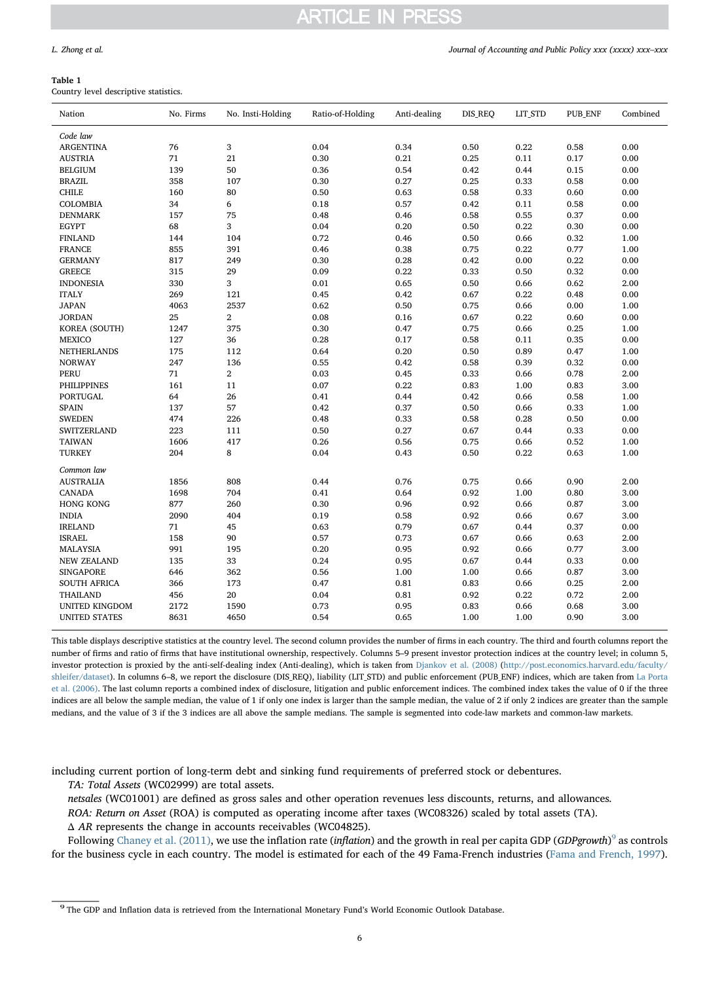### <span id="page-5-1"></span>Table 1

Country level descriptive statistics.

| Nation                | No. Firms | No. Insti-Holding | Ratio-of-Holding | Anti-dealing | DIS_REQ | LIT_STD | PUB_ENF | Combined |
|-----------------------|-----------|-------------------|------------------|--------------|---------|---------|---------|----------|
| Code law              |           |                   |                  |              |         |         |         |          |
| <b>ARGENTINA</b>      | 76        | 3                 | 0.04             | 0.34         | 0.50    | 0.22    | 0.58    | 0.00     |
| <b>AUSTRIA</b>        | 71        | $21\,$            | 0.30             | 0.21         | 0.25    | 0.11    | 0.17    | 0.00     |
| <b>BELGIUM</b>        | 139       | 50                | 0.36             | 0.54         | 0.42    | 0.44    | 0.15    | 0.00     |
| <b>BRAZIL</b>         | 358       | 107               | 0.30             | 0.27         | 0.25    | 0.33    | 0.58    | 0.00     |
| <b>CHILE</b>          | 160       | 80                | 0.50             | 0.63         | 0.58    | 0.33    | 0.60    | 0.00     |
| <b>COLOMBIA</b>       | 34        | 6                 | 0.18             | 0.57         | 0.42    | 0.11    | 0.58    | 0.00     |
| <b>DENMARK</b>        | 157       | 75                | 0.48             | 0.46         | 0.58    | 0.55    | 0.37    | 0.00     |
| <b>EGYPT</b>          | 68        | 3                 | 0.04             | 0.20         | 0.50    | 0.22    | 0.30    | 0.00     |
| <b>FINLAND</b>        | 144       | 104               | 0.72             | 0.46         | 0.50    | 0.66    | 0.32    | 1.00     |
| <b>FRANCE</b>         | 855       | 391               | 0.46             | 0.38         | 0.75    | 0.22    | 0.77    | 1.00     |
| <b>GERMANY</b>        | 817       | 249               | 0.30             | 0.28         | 0.42    | 0.00    | 0.22    | 0.00     |
| <b>GREECE</b>         | 315       | 29                | 0.09             | 0.22         | 0.33    | 0.50    | 0.32    | 0.00     |
| <b>INDONESIA</b>      | 330       | 3                 | 0.01             | 0.65         | 0.50    | 0.66    | 0.62    | 2.00     |
| <b>ITALY</b>          | 269       | 121               | 0.45             | 0.42         | 0.67    | 0.22    | 0.48    | 0.00     |
| <b>JAPAN</b>          | 4063      | 2537              | 0.62             | 0.50         | 0.75    | 0.66    | 0.00    | 1.00     |
| <b>JORDAN</b>         | 25        | $\,2$             | 0.08             | 0.16         | 0.67    | 0.22    | 0.60    | 0.00     |
| KOREA (SOUTH)         | 1247      | 375               | 0.30             | 0.47         | 0.75    | 0.66    | 0.25    | 1.00     |
| <b>MEXICO</b>         | 127       | 36                | 0.28             | 0.17         | 0.58    | 0.11    | 0.35    | 0.00     |
| <b>NETHERLANDS</b>    | 175       | 112               | 0.64             | 0.20         | 0.50    | 0.89    | 0.47    | 1.00     |
| <b>NORWAY</b>         | 247       | 136               | 0.55             | 0.42         | 0.58    | 0.39    | 0.32    | 0.00     |
| <b>PERU</b>           | 71        | $\,2$             | 0.03             | 0.45         | 0.33    | 0.66    | 0.78    | 2.00     |
| PHILIPPINES           | 161       | 11                | 0.07             | 0.22         | 0.83    | 1.00    | 0.83    | 3.00     |
| <b>PORTUGAL</b>       | 64        | 26                | 0.41             | 0.44         | 0.42    | 0.66    | 0.58    | 1.00     |
| <b>SPAIN</b>          | 137       | 57                | 0.42             | 0.37         | 0.50    | 0.66    | 0.33    | 1.00     |
| SWEDEN                | 474       | 226               | 0.48             | 0.33         | 0.58    | 0.28    | 0.50    | 0.00     |
| SWITZERLAND           | 223       | 111               | 0.50             | 0.27         | 0.67    | 0.44    | 0.33    | 0.00     |
| <b>TAIWAN</b>         | 1606      | 417               | 0.26             | 0.56         | 0.75    | 0.66    | 0.52    | 1.00     |
| <b>TURKEY</b>         | 204       | 8                 | 0.04             | 0.43         | 0.50    | 0.22    | 0.63    | 1.00     |
| Common law            |           |                   |                  |              |         |         |         |          |
| <b>AUSTRALIA</b>      | 1856      | 808               | 0.44             | 0.76         | 0.75    | 0.66    | 0.90    | 2.00     |
| <b>CANADA</b>         | 1698      | 704               | 0.41             | 0.64         | 0.92    | 1.00    | 0.80    | 3.00     |
| <b>HONG KONG</b>      | 877       | 260               | 0.30             | 0.96         | 0.92    | 0.66    | 0.87    | 3.00     |
| <b>INDIA</b>          | 2090      | 404               | 0.19             | 0.58         | 0.92    | 0.66    | 0.67    | 3.00     |
| <b>IRELAND</b>        | 71        | 45                | 0.63             | 0.79         | 0.67    | 0.44    | 0.37    | 0.00     |
| <b>ISRAEL</b>         | 158       | 90                | 0.57             | 0.73         | 0.67    | 0.66    | 0.63    | 2.00     |
| <b>MALAYSIA</b>       | 991       | 195               | 0.20             | 0.95         | 0.92    | 0.66    | 0.77    | 3.00     |
| <b>NEW ZEALAND</b>    | 135       | 33                | 0.24             | 0.95         | 0.67    | 0.44    | 0.33    | 0.00     |
| <b>SINGAPORE</b>      | 646       | 362               | 0.56             | 1.00         | 1.00    | 0.66    | 0.87    | 3.00     |
| SOUTH AFRICA          | 366       | 173               | 0.47             | 0.81         | 0.83    | 0.66    | 0.25    | 2.00     |
| <b>THAILAND</b>       | 456       | 20                | 0.04             | 0.81         | 0.92    | 0.22    | 0.72    | 2.00     |
| <b>UNITED KINGDOM</b> | 2172      | 1590              | 0.73             | 0.95         | 0.83    | 0.66    | 0.68    | 3.00     |
| <b>UNITED STATES</b>  | 8631      | 4650              | 0.54             | 0.65         | 1.00    | 1.00    | 0.90    | 3.00     |

This table displays descriptive statistics at the country level. The second column provides the number of firms in each country. The third and fourth columns report the number of firms and ratio of firms that have institutional ownership, respectively. Columns 5–9 present investor protection indices at the country level; in column 5, investor protection is proxied by the anti-self-dealing index (Anti-dealing), which is taken from [Djankov et al. \(2008\)](#page-21-9) ([http://post.economics.harvard.edu/faculty/](http://post.economics.harvard.edu/faculty/shleifer/dataset) [shleifer/dataset](http://post.economics.harvard.edu/faculty/shleifer/dataset)). In columns 6-8, we report the disclosure (DIS\_REQ), liability (LIT\_STD) and public enforcement (PUB\_ENF) indices, which are taken from [La Porta](#page-21-10) [et al. \(2006\)](#page-21-10). The last column reports a combined index of disclosure, litigation and public enforcement indices. The combined index takes the value of 0 if the three indices are all below the sample median, the value of 1 if only one index is larger than the sample median, the value of 2 if only 2 indices are greater than the sample medians, and the value of 3 if the 3 indices are all above the sample medians. The sample is segmented into code-law markets and common-law markets.

including current portion of long-term debt and sinking fund requirements of preferred stock or debentures.

TA: Total Assets (WC02999) are total assets.

netsales (WC01001) are defined as gross sales and other operation revenues less discounts, returns, and allowances.

ROA: Return on Asset (ROA) is computed as operating income after taxes (WC08326) scaled by total assets (TA).

Δ AR represents the change in accounts receivables (WC04825).

Following [Chaney et al. \(2011\)](#page-21-7), we use the inflation rate (*inflation*) and the growth in real per capita GDP (*GDPgrowth*)<sup>[9](#page-5-0)</sup> as controls for the business cycle in each country. The model is estimated for each of the 49 Fama-French industries ([Fama and French, 1997](#page-21-26)).

<span id="page-5-0"></span><sup>&</sup>lt;sup>9</sup> The GDP and Inflation data is retrieved from the International Monetary Fund's World Economic Outlook Database.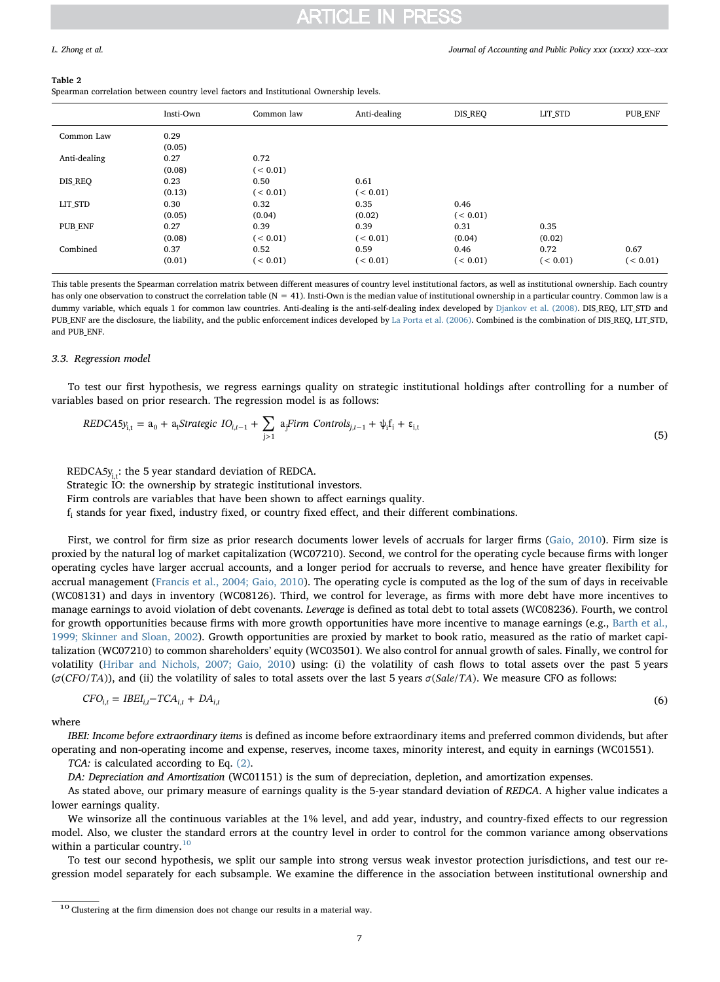#### <span id="page-6-1"></span>Table 2

Spearman correlation between country level factors and Institutional Ownership levels.

|                | Insti-Own | Common law | Anti-dealing | DIS REO  | LIT STD  | <b>PUB ENF</b> |
|----------------|-----------|------------|--------------|----------|----------|----------------|
| Common Law     | 0.29      |            |              |          |          |                |
|                | (0.05)    |            |              |          |          |                |
| Anti-dealing   | 0.27      | 0.72       |              |          |          |                |
|                | (0.08)    | ( < 0.01)  |              |          |          |                |
| DIS_REQ        | 0.23      | 0.50       | 0.61         |          |          |                |
|                | (0.13)    | ( < 0.01)  | (< 0.01)     |          |          |                |
| LIT STD        | 0.30      | 0.32       | 0.35         | 0.46     |          |                |
|                | (0.05)    | (0.04)     | (0.02)       | (< 0.01) |          |                |
| <b>PUB ENF</b> | 0.27      | 0.39       | 0.39         | 0.31     | 0.35     |                |
|                | (0.08)    | (< 0.01)   | (< 0.01)     | (0.04)   | (0.02)   |                |
| Combined       | 0.37      | 0.52       | 0.59         | 0.46     | 0.72     | 0.67           |
|                | (0.01)    | ( < 0.01)  | (< 0.01)     | (< 0.01) | (< 0.01) | (< 0.01)       |

This table presents the Spearman correlation matrix between different measures of country level institutional factors, as well as institutional ownership. Each country has only one observation to construct the correlation table (N = 41). Insti-Own is the median value of institutional ownership in a particular country. Common law is a dummy variable, which equals 1 for common law countries. Anti-dealing is the anti-self-dealing index developed by [Djankov et al. \(2008\).](#page-21-9) DIS\_REQ, LIT\_STD and PUB ENF are the disclosure, the liability, and the public enforcement indices developed by [La Porta et al. \(2006\).](#page-21-10) Combined is the combination of DIS REQ, LIT STD, and PUB ENF.

### 3.3. Regression model

<span id="page-6-2"></span>To test our first hypothesis, we regress earnings quality on strategic institutional holdings after controlling for a number of variables based on prior research. The regression model is as follows:

$$
REDCA5y_{i,t} = a_0 + a_1Strategyic IO_{i,t-1} + \sum_{j>1} a_j Firm Controls_{j,t-1} + \psi_i f_i + \varepsilon_{i,t}
$$
\n
$$
\tag{5}
$$

REDCA5 $y_i$ ,: the 5 year standard deviation of REDCA.

Strategic IO: the ownership by strategic institutional investors.

Firm controls are variables that have been shown to affect earnings quality.

 $f_i$  stands for year fixed, industry fixed, or country fixed effect, and their different combinations.

First, we control for firm size as prior research documents lower levels of accruals for larger firms ([Gaio, 2010](#page-21-27)). Firm size is proxied by the natural log of market capitalization (WC07210). Second, we control for the operating cycle because firms with longer operating cycles have larger accrual accounts, and a longer period for accruals to reverse, and hence have greater flexibility for accrual management ([Francis et al., 2004; Gaio, 2010\)](#page-21-28). The operating cycle is computed as the log of the sum of days in receivable (WC08131) and days in inventory (WC08126). Third, we control for leverage, as firms with more debt have more incentives to manage earnings to avoid violation of debt covenants. Leverage is defined as total debt to total assets (WC08236). Fourth, we control for growth opportunities because firms with more growth opportunities have more incentive to manage earnings (e.g., [Barth et al.,](#page-20-10) [1999; Skinner and Sloan, 2002\)](#page-20-10). Growth opportunities are proxied by market to book ratio, measured as the ratio of market capitalization (WC07210) to common shareholders' equity (WC03501). We also control for annual growth of sales. Finally, we control for volatility ([Hribar and Nichols, 2007; Gaio, 2010](#page-21-29)) using: (i) the volatility of cash flows to total assets over the past 5 years (*σ*( /) *CFO TA* ), and (ii) the volatility of sales to total assets over the last 5 years *σ*( / *Sale TA*). We measure CFO as follows:

$$
CFO_{i,t} = IBEI_{i,t} - TCA_{i,t} + DA_{i,t} \tag{6}
$$

where

IBEI: Income before extraordinary items is defined as income before extraordinary items and preferred common dividends, but after operating and non-operating income and expense, reserves, income taxes, minority interest, and equity in earnings (WC01551).

TCA: is calculated according to Eq. [\(2\)](#page-4-3).

DA: Depreciation and Amortization (WC01151) is the sum of depreciation, depletion, and amortization expenses.

As stated above, our primary measure of earnings quality is the 5-year standard deviation of REDCA. A higher value indicates a lower earnings quality.

We winsorize all the continuous variables at the 1% level, and add year, industry, and country-fixed effects to our regression model. Also, we cluster the standard errors at the country level in order to control for the common variance among observations within a particular country. $10$ 

To test our second hypothesis, we split our sample into strong versus weak investor protection jurisdictions, and test our regression model separately for each subsample. We examine the difference in the association between institutional ownership and

<span id="page-6-0"></span><sup>&</sup>lt;sup>10</sup> Clustering at the firm dimension does not change our results in a material way.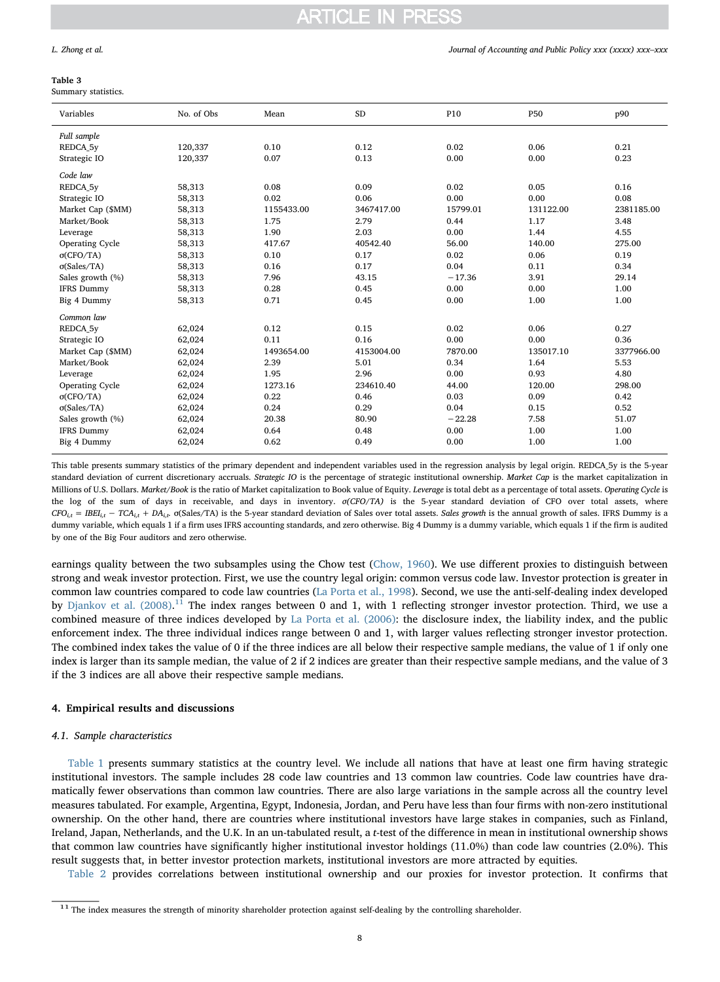### <span id="page-7-2"></span>Table 3

Summary statistics.

| Variables          | No. of Obs | Mean       | <b>SD</b>  | P <sub>10</sub> | <b>P50</b> | p90        |
|--------------------|------------|------------|------------|-----------------|------------|------------|
| Full sample        |            |            |            |                 |            |            |
| <b>REDCA 5y</b>    | 120,337    | 0.10       | 0.12       | 0.02            | 0.06       | 0.21       |
| Strategic IO       | 120,337    | 0.07       | 0.13       | 0.00            | 0.00       | 0.23       |
| Code law           |            |            |            |                 |            |            |
| <b>REDCA 5y</b>    | 58,313     | 0.08       | 0.09       | 0.02            | 0.05       | 0.16       |
| Strategic IO       | 58,313     | 0.02       | 0.06       | 0.00            | 0.00       | 0.08       |
| Market Cap (\$MM)  | 58,313     | 1155433.00 | 3467417.00 | 15799.01        | 131122.00  | 2381185.00 |
| Market/Book        | 58,313     | 1.75       | 2.79       | 0.44            | 1.17       | 3.48       |
| Leverage           | 58,313     | 1.90       | 2.03       | 0.00            | 1.44       | 4.55       |
| Operating Cycle    | 58,313     | 417.67     | 40542.40   | 56.00           | 140.00     | 275.00     |
| $\sigma$ (CFO/TA)  | 58,313     | 0.10       | 0.17       | 0.02            | 0.06       | 0.19       |
| $\sigma(Sales/TA)$ | 58,313     | 0.16       | 0.17       | 0.04            | 0.11       | 0.34       |
| Sales growth (%)   | 58,313     | 7.96       | 43.15      | $-17.36$        | 3.91       | 29.14      |
| <b>IFRS Dummy</b>  | 58,313     | 0.28       | 0.45       | 0.00            | 0.00       | 1.00       |
| Big 4 Dummy        | 58,313     | 0.71       | 0.45       | 0.00            | 1.00       | 1.00       |
| Common law         |            |            |            |                 |            |            |
| REDCA_5y           | 62,024     | 0.12       | 0.15       | 0.02            | 0.06       | 0.27       |
| Strategic IO       | 62,024     | 0.11       | 0.16       | 0.00            | 0.00       | 0.36       |
| Market Cap (\$MM)  | 62,024     | 1493654.00 | 4153004.00 | 7870.00         | 135017.10  | 3377966.00 |
| Market/Book        | 62,024     | 2.39       | 5.01       | 0.34            | 1.64       | 5.53       |
| Leverage           | 62,024     | 1.95       | 2.96       | 0.00            | 0.93       | 4.80       |
| Operating Cycle    | 62,024     | 1273.16    | 234610.40  | 44.00           | 120.00     | 298.00     |
| $\sigma$ (CFO/TA)  | 62,024     | 0.22       | 0.46       | 0.03            | 0.09       | 0.42       |
| $\sigma(Sales/TA)$ | 62,024     | 0.24       | 0.29       | 0.04            | 0.15       | 0.52       |
| Sales growth (%)   | 62,024     | 20.38      | 80.90      | $-22.28$        | 7.58       | 51.07      |
| <b>IFRS Dummy</b>  | 62,024     | 0.64       | 0.48       | 0.00            | 1.00       | 1.00       |
| Big 4 Dummy        | 62,024     | 0.62       | 0.49       | 0.00            | 1.00       | 1.00       |

This table presents summary statistics of the primary dependent and independent variables used in the regression analysis by legal origin. REDCA\_5y is the 5-year standard deviation of current discretionary accruals. Strategic IO is the percentage of strategic institutional ownership. Market Cap is the market capitalization in Millions of U.S. Dollars. Market/Book is the ratio of Market capitalization to Book value of Equity. Leverage is total debt as a percentage of total assets. Operating Cycle is the log of the sum of days in receivable, and days in inventory. σ(CFO/TA) is the 5-year standard deviation of CFO over total assets, where  $CFO_{i,t} = IBEI_{i,t} - TCA_{i,t} + DA_{i,t}$  σ(Sales/TA) is the 5-year standard deviation of Sales over total assets. Sales growth is the annual growth of sales. IFRS Dummy is a dummy variable, which equals 1 if a firm uses IFRS accounting standards, and zero otherwise. Big 4 Dummy is a dummy variable, which equals 1 if the firm is audited by one of the Big Four auditors and zero otherwise.

earnings quality between the two subsamples using the Chow test [\(Chow, 1960\)](#page-21-30). We use different proxies to distinguish between strong and weak investor protection. First, we use the country legal origin: common versus code law. Investor protection is greater in common law countries compared to code law countries [\(La Porta et al., 1998](#page-21-31)). Second, we use the anti-self-dealing index developed by Djankov et al.  $(2008)^{11}$  $(2008)^{11}$  $(2008)^{11}$  The index ranges between 0 and 1, with 1 reflecting stronger investor protection. Third, we use a combined measure of three indices developed by [La Porta et al. \(2006\)](#page-21-10): the disclosure index, the liability index, and the public enforcement index. The three individual indices range between 0 and 1, with larger values reflecting stronger investor protection. The combined index takes the value of 0 if the three indices are all below their respective sample medians, the value of 1 if only one index is larger than its sample median, the value of 2 if 2 indices are greater than their respective sample medians, and the value of 3 if the 3 indices are all above their respective sample medians.

### <span id="page-7-0"></span>4. Empirical results and discussions

### 4.1. Sample characteristics

[Table 1](#page-5-1) presents summary statistics at the country level. We include all nations that have at least one firm having strategic institutional investors. The sample includes 28 code law countries and 13 common law countries. Code law countries have dramatically fewer observations than common law countries. There are also large variations in the sample across all the country level measures tabulated. For example, Argentina, Egypt, Indonesia, Jordan, and Peru have less than four firms with non-zero institutional ownership. On the other hand, there are countries where institutional investors have large stakes in companies, such as Finland, Ireland, Japan, Netherlands, and the U.K. In an un-tabulated result, a t-test of the difference in mean in institutional ownership shows that common law countries have significantly higher institutional investor holdings (11.0%) than code law countries (2.0%). This result suggests that, in better investor protection markets, institutional investors are more attracted by equities.

[Table 2](#page-6-1) provides correlations between institutional ownership and our proxies for investor protection. It confirms that

<span id="page-7-1"></span><sup>&</sup>lt;sup>11</sup> The index measures the strength of minority shareholder protection against self-dealing by the controlling shareholder.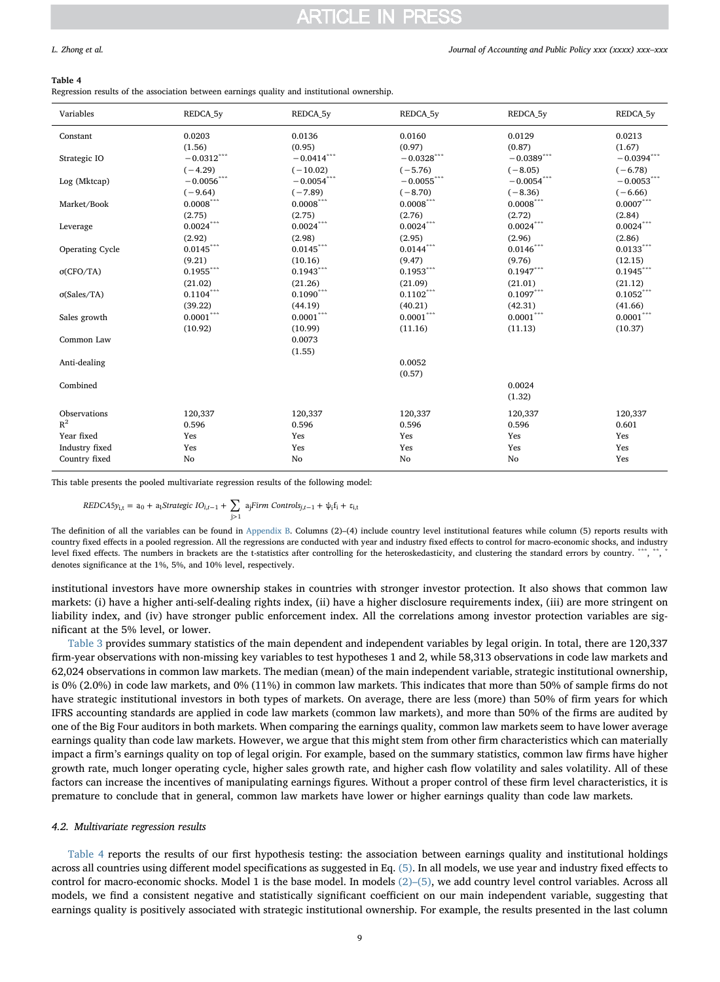#### <span id="page-8-0"></span>Table 4

Regression results of the association between earnings quality and institutional ownership.

| Variables          | REDCA_5y                          | REDCA_5y                | <b>REDCA 5y</b>         | REDCA_5y                | <b>REDCA 5v</b>                   |
|--------------------|-----------------------------------|-------------------------|-------------------------|-------------------------|-----------------------------------|
| Constant           | 0.0203                            | 0.0136                  | 0.0160                  | 0.0129                  | 0.0213                            |
|                    | (1.56)                            | (0.95)                  | (0.97)                  | (0.87)                  | (1.67)                            |
| Strategic IO       | $-0.0312^{***}\,$                 | $- \, 0.0414^{***}$     | $-0.0328^{***}\,$       | $-0.0389^{***}\,$       | $-0.0394***$                      |
|                    | $(-4.29)$                         | $(-10.02)$              | $(-5.76)$               | $(-8.05)$               | $(-6.78)$                         |
| Log (Mktcap)       | $-0.0056^{\ast\ast\ast}$          | $-0.0054***$            | $-0.0055^{***}\,$       | $-0.0054$ ***           | $- \, 0.0053^{***}$               |
|                    | $(-9.64)$                         | $(-7.89)$               | $(-8.70)$               | $(-8.36)$               | $(-6.66)$                         |
| Market/Book        | $0.0008^{\ast\ast\ast}$           | $0.0008^{\ast\ast\ast}$ | $0.0008^{\ast\ast\ast}$ | $0.0008^{***}\,$        | $0.0007^{\ast\ast\ast}$           |
|                    | (2.75)                            | (2.75)                  | (2.76)                  | (2.72)                  | (2.84)                            |
| Leverage           | $0.0024^{***}\,$                  | $0.0024^{***}\,$        | $0.0024^{\ast\ast\ast}$ | $0.0024^{\ast\ast\ast}$ | $0.0024^{***}\,$                  |
|                    | (2.92)                            | (2.98)                  | (2.95)                  | (2.96)                  | (2.86)                            |
| Operating Cycle    | $0.0145***$                       | $0.0145^{\ast\ast\ast}$ | $0.0144\sp{^{***}}$     | $0.0146***$             | $0.0133^\ast{}^{\ast}{}^{\ast}{}$ |
|                    | (9.21)                            | (10.16)                 | (9.47)                  | (9.76)                  | (12.15)                           |
| $\sigma(CFO/TA)$   | $0.1955^\ast{}^{\ast}{}^{\ast}{}$ | $0.1943^\ast{}^*{}^*$   | $0.1953^{\ast\ast\ast}$ | $0.1947^{\ast\ast\ast}$ | $0.1945^{\ast\ast\ast}$           |
|                    | (21.02)                           | (21.26)                 | (21.09)                 | (21.01)                 | (21.12)                           |
| $\sigma(Sales/TA)$ |                                   | $0.1090^{\ast\ast\ast}$ | $0.1102^{\ast\ast\ast}$ | $0.1097^{\ast\ast\ast}$ | $0.1052^{\ast\ast\ast}$           |
|                    | (39.22)                           | (44.19)                 | (40.21)                 | (42.31)                 | (41.66)                           |
| Sales growth       | $0.0001^{\ast\ast\ast}$           | $0.0001^{\ast\ast\ast}$ | $0.0001^{\ast\ast\ast}$ | $0.0001^{***}$          | $0.0001^{\ast\ast\ast}$           |
|                    | (10.92)                           | (10.99)                 | (11.16)                 | (11.13)                 | (10.37)                           |
| Common Law         |                                   | 0.0073<br>(1.55)        |                         |                         |                                   |
| Anti-dealing       |                                   |                         | 0.0052<br>(0.57)        |                         |                                   |
| Combined           |                                   |                         |                         | 0.0024<br>(1.32)        |                                   |
| Observations       | 120,337                           | 120,337                 | 120,337                 | 120,337                 | 120,337                           |
| $R^2$              | 0.596                             | 0.596                   | 0.596                   | 0.596                   | 0.601                             |
| Year fixed         | Yes                               | Yes                     | Yes                     | Yes                     | Yes                               |
| Industry fixed     | Yes                               | Yes                     | Yes                     | Yes                     | Yes                               |
| Country fixed      | No                                | No                      | No                      | No                      | Yes                               |

This table presents the pooled multivariate regression results of the following model:

$$
REDCA5y_{i,t} = a_0 + a_1Strategyic IO_{i,t-1} + \sum_{j>1} a_j Firm Controls_{j,t-1} + \psi_i f_i + \varepsilon_{i,t}
$$

The definition of all the variables can be found in [Appendix B](#page-19-0). Columns (2)–(4) include country level institutional features while column (5) reports results with country fixed effects in a pooled regression. All the regressions are conducted with year and industry fixed effects to control for macro-economic shocks, and industry level fixed effects. The numbers in brackets are the t-statistics after controlling for the heteroskedasticity, and clustering the standard errors by country. \*\*\*, denotes significance at the 1%, 5%, and 10% level, respectively.

institutional investors have more ownership stakes in countries with stronger investor protection. It also shows that common law markets: (i) have a higher anti-self-dealing rights index, (ii) have a higher disclosure requirements index, (iii) are more stringent on liability index, and (iv) have stronger public enforcement index. All the correlations among investor protection variables are significant at the 5% level, or lower.

[Table 3](#page-7-2) provides summary statistics of the main dependent and independent variables by legal origin. In total, there are 120,337 firm-year observations with non-missing key variables to test hypotheses 1 and 2, while 58,313 observations in code law markets and 62,024 observations in common law markets. The median (mean) of the main independent variable, strategic institutional ownership, is 0% (2.0%) in code law markets, and 0% (11%) in common law markets. This indicates that more than 50% of sample firms do not have strategic institutional investors in both types of markets. On average, there are less (more) than 50% of firm years for which IFRS accounting standards are applied in code law markets (common law markets), and more than 50% of the firms are audited by one of the Big Four auditors in both markets. When comparing the earnings quality, common law markets seem to have lower average earnings quality than code law markets. However, we argue that this might stem from other firm characteristics which can materially impact a firm's earnings quality on top of legal origin. For example, based on the summary statistics, common law firms have higher growth rate, much longer operating cycle, higher sales growth rate, and higher cash flow volatility and sales volatility. All of these factors can increase the incentives of manipulating earnings figures. Without a proper control of these firm level characteristics, it is premature to conclude that in general, common law markets have lower or higher earnings quality than code law markets.

### 4.2. Multivariate regression results

[Table 4](#page-8-0) reports the results of our first hypothesis testing: the association between earnings quality and institutional holdings across all countries using different model specifications as suggested in Eq. [\(5\).](#page-6-2) In all models, we use year and industry fixed effects to control for macro-economic shocks. Model 1 is the base model. In models [\(2\)](#page-4-3)–(5), we add country level control variables. Across all models, we find a consistent negative and statistically significant coefficient on our main independent variable, suggesting that earnings quality is positively associated with strategic institutional ownership. For example, the results presented in the last column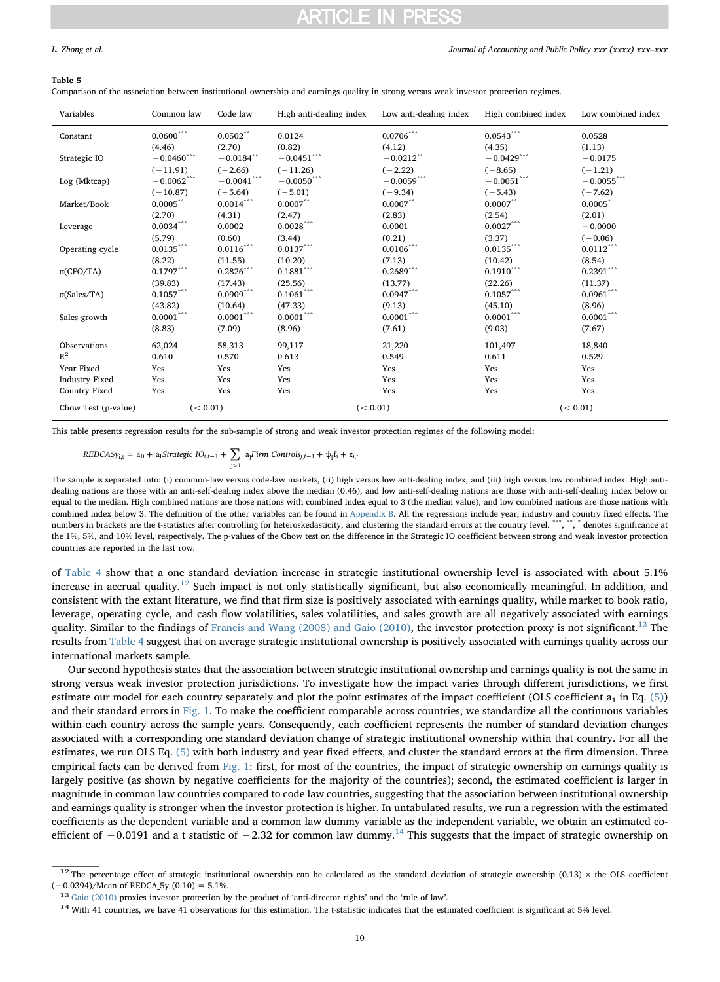#### <span id="page-9-0"></span>Table 5

Comparison of the association between institutional ownership and earnings quality in strong versus weak investor protection regimes.

| Variables             | Common law               | Code law                 | High anti-dealing index  | Low anti-dealing index                 | High combined index               | Low combined index                |
|-----------------------|--------------------------|--------------------------|--------------------------|----------------------------------------|-----------------------------------|-----------------------------------|
| Constant              | $0.0600^{\ast\ast\ast}$  | $0.0502^{\ast\ast}$      | 0.0124                   | $0.0706^{\ast\ast\ast}$                | $0.0543^{\ast\ast\ast}$           | 0.0528                            |
|                       | (4.46)                   | (2.70)                   | (0.82)                   | (4.12)                                 | (4.35)                            | (1.13)                            |
| Strategic IO          | $-0.0460$ <sup>***</sup> | $-0.0184$ <sup>**</sup>  | $-0.0451^{\ast\ast\ast}$ | $-0.0212^{^{\ast\ast}}$                | $-0.0429$ ***                     | $-0.0175$                         |
|                       | $(-11.91)$               | $(-2.66)$                | $(-11.26)$               | $(-2.22)$                              | $(-8.65)$                         | $(-1.21)$                         |
| Log (Mktcap)          | $-0.0062^{***}\,$        | $-0.0041^{\ast\ast\ast}$ | $-0.0050^{***}\,$        | $-0.0059***$                           | $-0.0051^{\ast\ast\ast}$          | $-0.0055^{***}\,$                 |
|                       | $(-10.87)$               | $(-5.64)$                | $(-5.01)$                | $(-9.34)$                              | $(-5.43)$                         | $(-7.62)$                         |
| Market/Book           | $0.0005***$              | $0.0014***$              | $0.0007***$              | $0.0007^{\ast\ast}$                    | $0.0007^{\ast\ast}$               | 0.0005                            |
|                       | (2.70)                   | (4.31)                   | (2.47)                   | (2.83)                                 | (2.54)                            | (2.01)                            |
| Leverage              | $0.0034***$              | 0.0002                   | $0.0028***$              | 0.0001                                 | $0.0027^{\ast\ast\ast}$           | $-0.0000$                         |
|                       | (5.79)                   | (0.60)                   | (3.44)                   | (0.21)                                 | (3.37)                            | $(-0.06)$                         |
| Operating cycle       | $0.0135^{\ast\ast\ast}$  | $0.0116^\mathrm{***}$    | $0.0137^{\ast\ast\ast}$  | $0.0106\sp{^\ast\sp{^\ast\sp{^\ast}}}$ | $0.0135^\ast{}^{\ast}{}^{\ast}{}$ | $0.0112^\mathrm{***}$             |
|                       | (8.22)                   | (11.55)                  | (10.20)                  | (7.13)                                 | (10.42)                           | (8.54)                            |
| $\sigma(CFO/TA)$      | $0.1797***$              | $0.2826^\mathrm{***}$    | $0.1881***$              | $0.2689$ ***                           | $0.1910***$                       | $0.2391^\ast{}^{\ast}{}^{\ast}{}$ |
|                       | (39.83)                  | (17.43)                  | (25.56)                  | (13.77)                                | (22.26)                           | (11.37)                           |
| $\sigma(Sales/TA)$    | $0.1057^{\ast\ast\ast}$  | $0.0909^{\ast\ast\ast}$  | $0.1061^{\ast\ast\ast}$  | $0.0947^{\ast\ast\ast}$                | $0.1057^{\ast\ast\ast}$           | $0.0961^{\ast\ast\ast}$           |
|                       | (43.82)                  | (10.64)                  | (47.33)                  | (9.13)                                 | (45.10)                           | (8.96)                            |
| Sales growth          | $0.0001^{\ast\ast\ast}$  | $0.0001^\mathrm{***}$    | $0.0001^{\ast\ast\ast}$  | $0.0001^\mathrm{***}$                  | $0.0001^{\ast\ast\ast}$           | $0.0001^\mathrm{***}$             |
|                       | (8.83)                   | (7.09)                   | (8.96)                   | (7.61)                                 | (9.03)                            | (7.67)                            |
| Observations          | 62,024                   | 58,313                   | 99,117                   | 21,220                                 | 101,497                           | 18,840                            |
| $R^2$                 | 0.610                    | 0.570                    | 0.613                    | 0.549                                  | 0.611                             | 0.529                             |
| Year Fixed            | Yes                      | Yes                      | Yes                      | Yes                                    | Yes                               | Yes                               |
| <b>Industry Fixed</b> | Yes                      | Yes                      | Yes                      | Yes                                    | Yes                               | Yes                               |
| Country Fixed         | Yes                      | Yes                      | Yes                      | Yes                                    | Yes                               | Yes                               |
| Chow Test (p-value)   | (< 0.01)                 |                          | (< 0.01)                 |                                        |                                   | (< 0.01)                          |

This table presents regression results for the sub-sample of strong and weak investor protection regimes of the following model:

$$
\text{REDCA5y}_{i,t} = a_0 + a_1 \text{Strategic IO}_{i,t-1} + \sum_{j>1} a_j \text{Firm Controls}_{j,t-1} + \psi_i f_i + \epsilon_{i,t}
$$

The sample is separated into: (i) common-law versus code-law markets, (ii) high versus low anti-dealing index, and (iii) high versus low combined index. High antidealing nations are those with an anti-self-dealing index above the median (0.46), and low anti-self-dealing nations are those with anti-self-dealing index below or equal to the median. High combined nations are those nations with combined index equal to 3 (the median value), and low combined nations are those nations with combined index below 3. The definition of the other variables can be found in [Appendix B.](#page-19-0) All the regressions include year, industry and country fixed effects. The numbers in brackets are the t-statistics after controlling for heteroskedasticity, and clustering the standard errors at the country level. \*\*\*, \*, \* denotes significance at the 1%, 5%, and 10% level, respectively. The p-values of the Chow test on the difference in the Strategic IO coefficient between strong and weak investor protection countries are reported in the last row.

of [Table 4](#page-8-0) show that a one standard deviation increase in strategic institutional ownership level is associated with about 5.1% increase in accrual quality.<sup>[12](#page-9-1)</sup> Such impact is not only statistically significant, but also economically meaningful. In addition, and consistent with the extant literature, we find that firm size is positively associated with earnings quality, while market to book ratio, leverage, operating cycle, and cash flow volatilities, sales volatilities, and sales growth are all negatively associated with earnings quality. Similar to the findings of [Francis and Wang \(2008\) and Gaio \(2010\),](#page-21-6) the investor protection proxy is not significant.<sup>[13](#page-9-2)</sup> The results from [Table 4](#page-8-0) suggest that on average strategic institutional ownership is positively associated with earnings quality across our international markets sample.

Our second hypothesis states that the association between strategic institutional ownership and earnings quality is not the same in strong versus weak investor protection jurisdictions. To investigate how the impact varies through different jurisdictions, we first estimate our model for each country separately and plot the point estimates of the impact coefficient (OLS coefficient  $a_1$  in Eq. [\(5\)](#page-6-2)) and their standard errors in [Fig. 1](#page-4-4). To make the coefficient comparable across countries, we standardize all the continuous variables within each country across the sample years. Consequently, each coefficient represents the number of standard deviation changes associated with a corresponding one standard deviation change of strategic institutional ownership within that country. For all the estimates, we run OLS Eq. [\(5\)](#page-6-2) with both industry and year fixed effects, and cluster the standard errors at the firm dimension. Three empirical facts can be derived from [Fig. 1:](#page-4-4) first, for most of the countries, the impact of strategic ownership on earnings quality is largely positive (as shown by negative coefficients for the majority of the countries); second, the estimated coefficient is larger in magnitude in common law countries compared to code law countries, suggesting that the association between institutional ownership and earnings quality is stronger when the investor protection is higher. In untabulated results, we run a regression with the estimated coefficients as the dependent variable and a common law dummy variable as the independent variable, we obtain an estimated coefficient of  $-0.0191$  and a t statistic of  $-2.32$  for common law dummy.<sup>[14](#page-9-3)</sup> This suggests that the impact of strategic ownership on

<span id="page-9-1"></span> $12$  The percentage effect of strategic institutional ownership can be calculated as the standard deviation of strategic ownership (0.13)  $\times$  the OLS coefficient  $(-0.0394)/$ Mean of REDCA\_5y (0.10) = 5.1%.<br><sup>13</sup> Gaio (2010) proxies investor protection by the product of 'anti-director rights' and the 'rule of law'.

<span id="page-9-2"></span>

<span id="page-9-3"></span><sup>&</sup>lt;sup>14</sup> With 41 countries, we have 41 observations for this estimation. The t-statistic indicates that the estimated coefficient is significant at 5% level.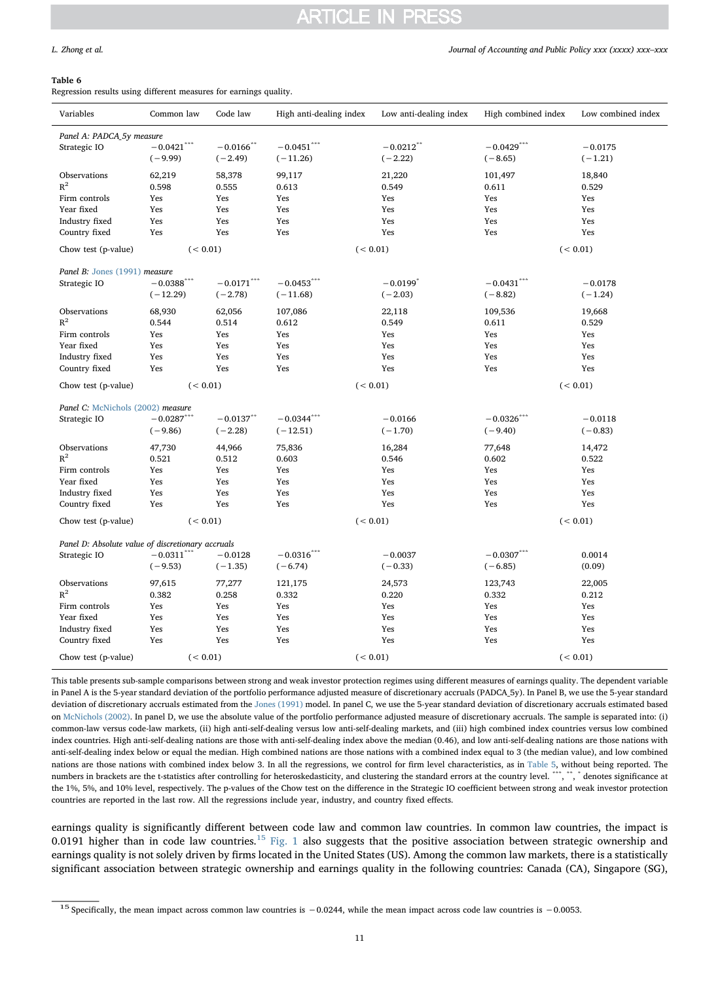### <span id="page-10-0"></span>Table 6

Regression results using different measures for earnings quality.

| Variables                                         | Common law    | Code law     | High anti-dealing index | Low anti-dealing index | High combined index | Low combined index |
|---------------------------------------------------|---------------|--------------|-------------------------|------------------------|---------------------|--------------------|
| Panel A: PADCA_5y measure                         |               |              |                         |                        |                     |                    |
| Strategic IO                                      | $-0.0421***$  | $-0.0166$ ** | $-0.0451***$            | $-0.0212**$            | $-0.0429***$        | $-0.0175$          |
|                                                   | $(-9.99)$     | $(-2.49)$    | $(-11.26)$              | $(-2.22)$              | $(-8.65)$           | $(-1.21)$          |
| Observations                                      | 62,219        | 58,378       | 99,117                  | 21,220                 | 101,497             | 18,840             |
| $R^2$                                             | 0.598         | 0.555        | 0.613                   | 0.549                  | 0.611               | 0.529              |
| Firm controls                                     | Yes           | Yes          | Yes                     | Yes                    | Yes                 | Yes                |
| Year fixed                                        | Yes           | Yes          | Yes                     | Yes                    | Yes                 | Yes                |
| Industry fixed                                    | Yes           | Yes          | Yes                     | Yes                    | Yes                 | Yes                |
| Country fixed                                     | Yes           | Yes          | Yes                     | Yes                    | Yes                 | Yes                |
| Chow test (p-value)                               | (< 0.01)      |              |                         | (< 0.01)               |                     | (< 0.01)           |
| Panel B: Jones (1991) measure                     |               |              |                         |                        |                     |                    |
| Strategic IO                                      | $-0.0388$ *** | $-0.0171***$ | $-0.0453***$            | $-0.0199^*$            | $-0.0431***$        | $-0.0178$          |
|                                                   | $(-12.29)$    | $(-2.78)$    | $(-11.68)$              | $(-2.03)$              | $(-8.82)$           | $(-1.24)$          |
| Observations                                      | 68,930        | 62,056       | 107,086                 | 22,118                 | 109,536             | 19,668             |
| $\mathbb{R}^2$                                    | 0.544         | 0.514        | 0.612                   | 0.549                  | 0.611               | 0.529              |
| Firm controls                                     | Yes           | Yes          | Yes                     | Yes                    | Yes                 | Yes                |
| Year fixed                                        | Yes           | Yes          | Yes                     | Yes                    | Yes                 | Yes                |
| Industry fixed                                    | Yes           | Yes          | Yes                     | Yes                    | Yes                 | Yes                |
| Country fixed                                     | Yes           | Yes          | Yes                     | Yes                    | Yes                 | Yes                |
|                                                   |               |              |                         |                        |                     |                    |
| Chow test (p-value)                               | (< 0.01)      |              |                         | (< 0.01)               |                     | (< 0.01)           |
| Panel C: McNichols (2002) measure                 |               |              |                         |                        |                     |                    |
| Strategic IO                                      | $-0.0287$ *** | $-0.0137$ ** | $-0.0344$ ***           | $-0.0166$              | $-0.0326$ ***       | $-0.0118$          |
|                                                   | $(-9.86)$     | $(-2.28)$    | $(-12.51)$              | $(-1.70)$              | $(-9.40)$           | $(-0.83)$          |
| Observations                                      | 47,730        | 44,966       | 75,836                  | 16,284                 | 77,648              | 14,472             |
| $R^2$                                             | 0.521         | 0.512        | 0.603                   | 0.546                  | 0.602               | 0.522              |
| Firm controls                                     | Yes           | Yes          | Yes                     | Yes                    | Yes                 | Yes                |
| Year fixed                                        | Yes           | Yes          | Yes                     | Yes                    | Yes                 | Yes                |
| Industry fixed                                    | Yes           | Yes          | Yes                     | Yes                    | Yes                 | Yes                |
| Country fixed                                     | Yes           | Yes          | Yes                     | Yes                    | Yes                 | Yes                |
| Chow test (p-value)                               | (< 0.01)      |              |                         | (< 0.01)               |                     | (< 0.01)           |
| Panel D: Absolute value of discretionary accruals |               |              |                         |                        |                     |                    |
| Strategic IO                                      | $-0.0311$ *** | $-0.0128$    | $-0.0316***$            | $-0.0037$              | $-0.0307***$        | 0.0014             |
|                                                   | $(-9.53)$     | $(-1.35)$    | $(-6.74)$               | $(-0.33)$              | $(-6.85)$           | (0.09)             |
| Observations                                      | 97,615        | 77,277       | 121,175                 | 24,573                 | 123,743             | 22,005             |
| $R^2$                                             | 0.382         | 0.258        | 0.332                   | 0.220                  | 0.332               | 0.212              |
| Firm controls                                     | Yes           | Yes          | Yes                     | Yes                    | Yes                 | Yes                |
| Year fixed                                        | Yes           | Yes          | Yes                     | Yes                    | Yes                 | Yes                |
| Industry fixed                                    | Yes           | Yes          | Yes                     | Yes                    | Yes                 | Yes                |
| Country fixed                                     | Yes           | Yes          | Yes                     | Yes                    | Yes                 | Yes                |
| Chow test (p-value)                               | (< 0.01)      |              |                         | (< 0.01)               |                     | (< 0.01)           |

This table presents sub-sample comparisons between strong and weak investor protection regimes using different measures of earnings quality. The dependent variable in Panel A is the 5-year standard deviation of the portfolio performance adjusted measure of discretionary accruals (PADCA\_5y). In Panel B, we use the 5-year standard deviation of discretionary accruals estimated from the [Jones \(1991\)](#page-21-32) model. In panel C, we use the 5-year standard deviation of discretionary accruals estimated based on [McNichols \(2002\)](#page-21-33). In panel D, we use the absolute value of the portfolio performance adjusted measure of discretionary accruals. The sample is separated into: (i) common-law versus code-law markets, (ii) high anti-self-dealing versus low anti-self-dealing markets, and (iii) high combined index countries versus low combined index countries. High anti-self-dealing nations are those with anti-self-dealing index above the median (0.46), and low anti-self-dealing nations are those nations with anti-self-dealing index below or equal the median. High combined nations are those nations with a combined index equal to 3 (the median value), and low combined nations are those nations with combined index below 3. In all the regressions, we control for firm level characteristics, as in [Table 5](#page-9-0), without being reported. The numbers in brackets are the t-statistics after controlling for heteroskedasticity, and clustering the standard errors at the country level. \*\*\*, \*\*, \* denotes significance at the 1%, 5%, and 10% level, respectively. The p-values of the Chow test on the difference in the Strategic IO coefficient between strong and weak investor protection countries are reported in the last row. All the regressions include year, industry, and country fixed effects.

earnings quality is significantly different between code law and common law countries. In common law countries, the impact is 0.0191 higher than in code law countries.<sup>[15](#page-10-1)</sup> [Fig. 1](#page-4-4) also suggests that the positive association between strategic ownership and earnings quality is not solely driven by firms located in the United States (US). Among the common law markets, there is a statistically significant association between strategic ownership and earnings quality in the following countries: Canada (CA), Singapore (SG),

<span id="page-10-1"></span><sup>15</sup> Specifically, the mean impact across common law countries is <sup>−</sup>0.0244, while the mean impact across code law countries is <sup>−</sup>0.0053.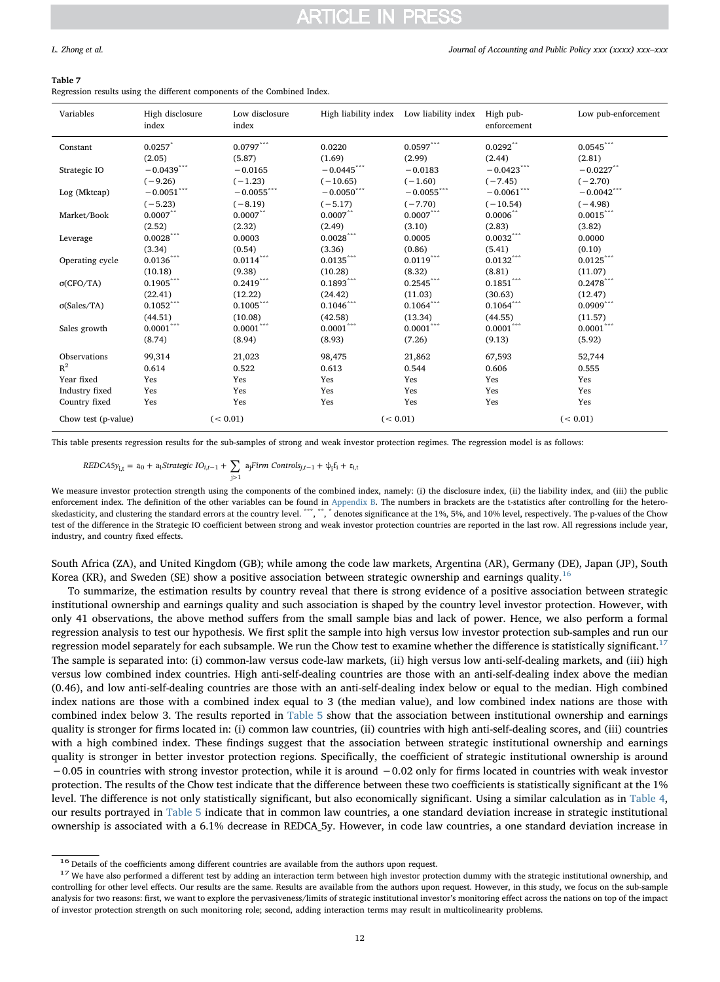#### <span id="page-11-2"></span>Table 7

Regression results using the different components of the Combined Index.

| Variables           | High disclosure<br>index | Low disclosure<br>index |                          | High liability index Low liability index | High pub-<br>enforcement          | Low pub-enforcement     |
|---------------------|--------------------------|-------------------------|--------------------------|------------------------------------------|-----------------------------------|-------------------------|
| Constant            | 0.0257                   | $0.0797***$             | 0.0220                   | $0.0597^{\ast\ast\ast}$                  | $0.0292^{\ast\ast}$               | $0.0545^{\ast\ast\ast}$ |
|                     | (2.05)                   | (5.87)                  | (1.69)                   | (2.99)                                   | (2.44)                            | (2.81)                  |
| Strategic IO        | $-0.0439***$             | $-0.0165$               | $-0.0445^{\ast\ast\ast}$ | $-0.0183$                                | $-0.0423***$                      | $-0.0227$ **            |
|                     | $(-9.26)$                | $(-1.23)$               | $(-10.65)$               | $(-1.60)$                                | $(-7.45)$                         | $(-2.70)$               |
| Log (Mktcap)        | $-0.0051^{\ast\ast\ast}$ | $-0.0055^{***}\,$       | $-0.0050^{\ast\ast\ast}$ | $- \, 0.0055^{***}$                      | $- \, 0.0061^{***}$               | $-0.0042$ ***           |
|                     | $(-5.23)$                | $(-8.19)$               | $(-5.17)$                | $(-7.70)$                                | $(-10.54)$                        | $(-4.98)$               |
| Market/Book         | $0.0007^{\ast\ast}$      | $0.0007***$             | $0.0007^{\ast\ast}$      | $0.0007***$                              | $0.0006^{\ast\ast}$               | $0.0015^{\ast\ast\ast}$ |
|                     | (2.52)                   | (2.32)                  | (2.49)                   | (3.10)                                   | (2.83)                            | (3.82)                  |
| Leverage            | $0.0028^\mathrm{***}$    | 0.0003                  | $0.0028^{\ast\ast\ast}$  | 0.0005                                   | $0.0032^\mathrm{***}$             | 0.0000                  |
|                     | (3.34)                   | (0.54)                  | (3.36)                   | (0.86)                                   | (5.41)                            | (0.10)                  |
| Operating cycle     | $0.0136***$              | $0.0114***$             | $0.0135^\mathrm{***}$    | $0.0119^\ast{}^{\ast}{}^{\ast}{}^{\ast}$ | $0.0132^\ast{}^{\ast}{}^{\ast}{}$ | $0.0125***$             |
|                     | (10.18)                  | (9.38)                  | (10.28)                  | (8.32)                                   | (8.81)                            | (11.07)                 |
| $\sigma$ (CFO/TA)   | $0.1905^{\ast\ast\ast}$  | $0.2419***$             | $0.1893^{\ast\ast\ast}$  | $0.2545***$                              | $0.1851^{\ast\ast\ast}$           | $0.2478^{\ast\ast\ast}$ |
|                     | (22.41)                  | (12.22)                 | (24.42)                  | (11.03)                                  | (30.63)                           | (12.47)                 |
| $\sigma(Sales/TA)$  | $0.1052***$              | $0.1005^{***}$          | $0.1046^{\ast\ast\ast}$  | $0.1064***$                              | $0.1064***$                       | $0.0909***$             |
|                     | (44.51)                  | (10.08)                 | (42.58)                  | (13.34)                                  | (44.55)                           | (11.57)                 |
| Sales growth        | $0.0001***$              | $0.0001***$             | $0.0001***$              | $0.0001^\mathrm{***}$                    | $0.0001^{\ast\ast\ast}$           | $0.0001^{\ast\ast\ast}$ |
|                     | (8.74)                   | (8.94)                  | (8.93)                   | (7.26)                                   | (9.13)                            | (5.92)                  |
| Observations        | 99,314                   | 21,023                  | 98,475                   | 21,862                                   | 67,593                            | 52,744                  |
| $R^2$               | 0.614                    | 0.522                   | 0.613                    | 0.544                                    | 0.606                             | 0.555                   |
| Year fixed          | Yes                      | Yes                     | Yes                      | Yes                                      | Yes                               | Yes                     |
| Industry fixed      | Yes                      | Yes                     | Yes                      | Yes                                      | Yes                               | Yes                     |
| Country fixed       | Yes                      | Yes                     | Yes                      | Yes                                      | Yes                               | Yes                     |
| Chow test (p-value) |                          | (< 0.01)                | (< 0.01)                 |                                          |                                   | (< 0.01)                |

This table presents regression results for the sub-samples of strong and weak investor protection regimes. The regression model is as follows:

 $REDCASy_{i,t} = a_0 + a_1StrategycIO_{i,t-1} + \sum_{j>1} a_j Firm Controls_{j,t-1} + \psi_i f_i + \varepsilon_{i,t}$ 

We measure investor protection strength using the components of the combined index, namely: (i) the disclosure index, (ii) the liability index, and (iii) the public enforcement index. The definition of the other variables can be found in [Appendix B](#page-19-0). The numbers in brackets are the t-statistics after controlling for the heteroskedasticity, and clustering the standard errors at the country level. \*\*\*, \*\*, \* denotes significance at the 1%, 5%, and 10% level, respectively. The p-values of the Chow test of the difference in the Strategic IO coefficient between strong and weak investor protection countries are reported in the last row. All regressions include year, industry, and country fixed effects.

South Africa (ZA), and United Kingdom (GB); while among the code law markets, Argentina (AR), Germany (DE), Japan (JP), South Korea (KR), and Sweden (SE) show a positive association between strategic ownership and earnings quality.<sup>[16](#page-11-0)</sup>

To summarize, the estimation results by country reveal that there is strong evidence of a positive association between strategic institutional ownership and earnings quality and such association is shaped by the country level investor protection. However, with only 41 observations, the above method suffers from the small sample bias and lack of power. Hence, we also perform a formal regression analysis to test our hypothesis. We first split the sample into high versus low investor protection sub-samples and run our regression model separately for each subsample. We run the Chow test to examine whether the difference is statistically significant.<sup>[17](#page-11-1)</sup> The sample is separated into: (i) common-law versus code-law markets, (ii) high versus low anti-self-dealing markets, and (iii) high versus low combined index countries. High anti-self-dealing countries are those with an anti-self-dealing index above the median (0.46), and low anti-self-dealing countries are those with an anti-self-dealing index below or equal to the median. High combined index nations are those with a combined index equal to 3 (the median value), and low combined index nations are those with combined index below 3. The results reported in [Table 5](#page-9-0) show that the association between institutional ownership and earnings quality is stronger for firms located in: (i) common law countries, (ii) countries with high anti-self-dealing scores, and (iii) countries with a high combined index. These findings suggest that the association between strategic institutional ownership and earnings quality is stronger in better investor protection regions. Specifically, the coefficient of strategic institutional ownership is around −0.05 in countries with strong investor protection, while it is around −0.02 only for firms located in countries with weak investor protection. The results of the Chow test indicate that the difference between these two coefficients is statistically significant at the 1% level. The difference is not only statistically significant, but also economically significant. Using a similar calculation as in [Table 4,](#page-8-0) our results portrayed in [Table 5](#page-9-0) indicate that in common law countries, a one standard deviation increase in strategic institutional ownership is associated with a 6.1% decrease in REDCA\_5y. However, in code law countries, a one standard deviation increase in

<span id="page-11-1"></span><span id="page-11-0"></span><sup>&</sup>lt;sup>16</sup> Details of the coefficients among different countries are available from the authors upon request.<br><sup>17</sup> We have also performed a different test by adding an interaction term between high investor protection dummy with controlling for other level effects. Our results are the same. Results are available from the authors upon request. However, in this study, we focus on the sub-sample analysis for two reasons: first, we want to explore the pervasiveness/limits of strategic institutional investor's monitoring effect across the nations on top of the impact of investor protection strength on such monitoring role; second, adding interaction terms may result in multicolinearity problems.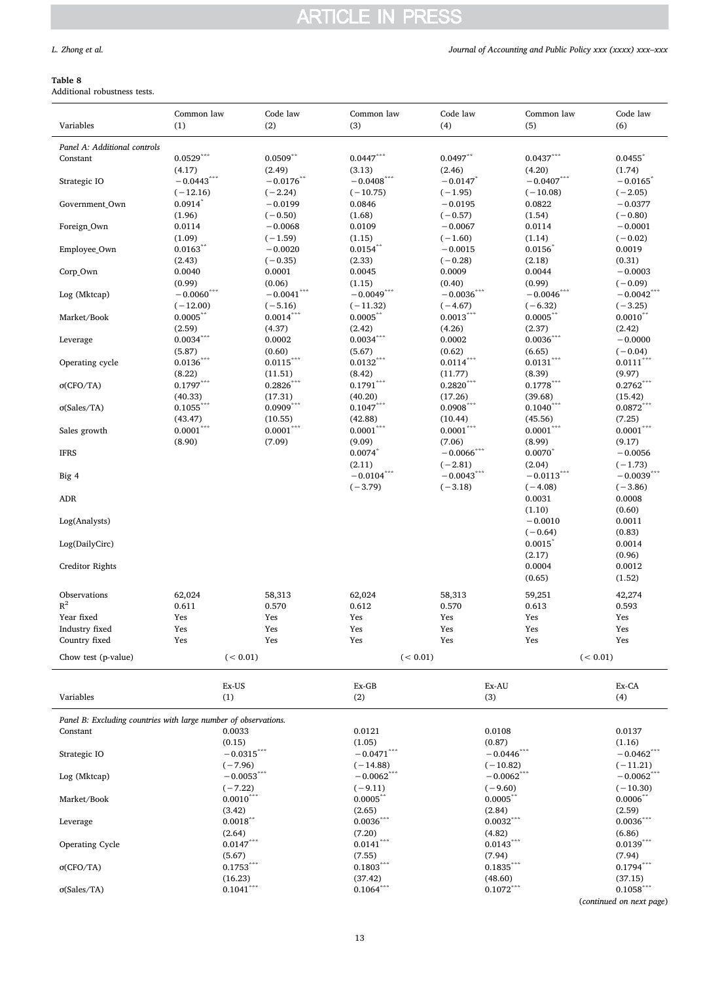### <span id="page-12-0"></span>Table 8

Additional robustness tests.

|                              | Common law                       | Code law                | Common law              | Code law         | Common law              | Code law      |
|------------------------------|----------------------------------|-------------------------|-------------------------|------------------|-------------------------|---------------|
| Variables                    | (1)                              | (2)                     | (3)                     | (4)              | (5)                     | (6)           |
| Panel A: Additional controls |                                  |                         |                         |                  |                         |               |
| Constant                     | $0.0529***$                      | $0.0509**$              | $0.0447***$             | $0.0497**$       | $0.0437***$             | 0.0455        |
|                              | (4.17)                           | (2.49)                  | (3.13)                  | (2.46)           | (4.20)                  | (1.74)        |
| Strategic IO                 | $-0.0443***$                     | $-0.0176$ <sup>**</sup> | $-0.0408***$            | $-0.0147$        | $-0.0407***$            | $-0.0165$     |
|                              | $(-12.16)$                       | $(-2.24)$               | $(-10.75)$              | $(-1.95)$        | $(-10.08)$              | $(-2.05)$     |
| Government Own               | 0.0914                           | $-0.0199$               | 0.0846                  | $-0.0195$        | 0.0822                  | $-0.0377$     |
|                              | (1.96)                           | $(-0.50)$               | (1.68)                  | $(-0.57)$        | (1.54)                  | $(-0.80)$     |
| Foreign_Own                  | 0.0114                           | $-0.0068$               | 0.0109                  | $-0.0067$        | 0.0114                  | $-0.0001$     |
|                              | (1.09)                           | $(-1.59)$               | (1.15)                  | $(-1.60)$        | (1.14)                  | $(-0.02)$     |
| Employee Own                 | $0.0163$ **                      | $-0.0020$               | $0.0154$ **             | $-0.0015$        | 0.0156                  | 0.0019        |
|                              | (2.43)                           | $(-0.35)$               | (2.33)                  | $(-0.28)$        | (2.18)                  | (0.31)        |
| Corp_Own                     | 0.0040                           | 0.0001                  | 0.0045                  | 0.0009           | 0.0044                  | $-0.0003$     |
|                              | (0.99)                           | (0.06)                  | (1.15)                  | (0.40)           | (0.99)                  | $(-0.09)$     |
| Log (Mktcap)                 | $-0.0060$ ***                    | $-0.0041***$            | $-0.0049***$            | $-0.0036***$     | $-0.0046***$            | $-0.0042$ *** |
|                              | $(-12.00)$                       | $(-5.16)$               | $(-11.32)$              | $(-4.67)$        | $(-6.32)$               | $(-3.25)$     |
| Market/Book                  | $0.0005$ **                      | $0.0014***$             | 0.0005                  | $0.0013***$      | 0.0005                  | $0.0010^{**}$ |
|                              | (2.59)                           | (4.37)                  | (2.42)                  | (4.26)           | (2.37)                  | (2.42)        |
| Leverage                     | $0.0034***$                      | 0.0002                  | $0.0034***$             | 0.0002           | $0.0036***$             | $-0.0000$     |
|                              | (5.87)                           | (0.60)                  | (5.67)                  | (0.62)           | (6.65)                  | $(-0.04)$     |
| Operating cycle              | $0.0136***$                      | $0.0115***$             | $0.0132^{\ast\ast\ast}$ | $0.0114^{***}\,$ | $0.0131^{\ast\ast\ast}$ | $0.0111***$   |
|                              | (8.22)                           | (11.51)                 | (8.42)                  | (11.77)          | (8.39)                  | (9.97)        |
| $\sigma$ (CFO/TA)            | $0.1797***$                      | $0.2826***$             | $0.1791***$             | $0.2820***$      | $0.1778***$             | $0.2762$ ***  |
|                              | (40.33)                          | (17.31)                 | (40.20)                 | (17.26)          | (39.68)                 | (15.42)       |
| $\sigma(Sales/TA)$           | $0.1055***$                      | $0.0909***$             | $0.1047***$             | $0.0908***$      | $0.1040***$             | $0.0872$ ***  |
|                              | (43.47)                          | (10.55)                 | (42.88)                 | (10.44)          | (45.56)                 | (7.25)        |
| Sales growth                 | $0.0001$ $\hspace{-1.5mm}^{***}$ | $0.0001***$             | $0.0001***$             | $0.0001***$      | $0.0001***$             | $0.0001***$   |
|                              | (8.90)                           | (7.09)                  | (9.09)                  | (7.06)           | (8.99)                  | (9.17)        |
| <b>IFRS</b>                  |                                  |                         | $0.0074^{*}$            | $-0.0066$ ***    | $0.0070^{*}$            | $-0.0056$     |
|                              |                                  |                         | (2.11)                  | $(-2.81)$        | (2.04)                  | $(-1.73)$     |
| Big 4                        |                                  |                         | $-0.0104***$            | $-0.0043$ ***    | $-0.0113***$            | $-0.0039$ *** |
|                              |                                  |                         | $(-3.79)$               | $(-3.18)$        | $(-4.08)$               | $(-3.86)$     |
| <b>ADR</b>                   |                                  |                         |                         |                  | 0.0031                  | 0.0008        |
|                              |                                  |                         |                         |                  | (1.10)                  | (0.60)        |
| Log(Analysts)                |                                  |                         |                         |                  | $-0.0010$               | 0.0011        |
|                              |                                  |                         |                         |                  | $(-0.64)$               | (0.83)        |
| Log(DailyCirc)               |                                  |                         |                         |                  | 0.0015                  | 0.0014        |
|                              |                                  |                         |                         |                  | (2.17)                  | (0.96)        |
| <b>Creditor Rights</b>       |                                  |                         |                         |                  | 0.0004                  | 0.0012        |
|                              |                                  |                         |                         |                  | (0.65)                  | (1.52)        |
| Observations                 | 62,024                           | 58,313                  | 62,024                  | 58,313           | 59,251                  | 42,274        |
| $R^2$                        | 0.611                            | 0.570                   | 0.612                   | 0.570            | 0.613                   | 0.593         |
| Year fixed                   | Yes                              | Yes                     | Yes                     | Yes              | Yes                     | Yes           |
| Industry fixed               | Yes                              | Yes                     | Yes                     | Yes              | Yes                     | Yes           |
| Country fixed                | Yes                              | Yes                     | Yes                     | Yes              | Yes                     | Yes           |
| Chow test (p-value)          |                                  | (< 0.01)                | (< 0.01)                |                  |                         | (< 0.01)      |
|                              |                                  |                         |                         |                  |                         |               |
|                              |                                  | Ex-US                   | $Ex-GB$                 | Ex-AU            |                         | Ex-CA         |
| Variables                    |                                  | (1)                     | (2)                     | (3)              |                         | (4)           |

| Panel B: Excluding countries with large number of observations. |              |               |               |                          |
|-----------------------------------------------------------------|--------------|---------------|---------------|--------------------------|
| Constant                                                        | 0.0033       | 0.0121        | 0.0108        | 0.0137                   |
|                                                                 | (0.15)       | (1.05)        | (0.87)        | (1.16)                   |
| Strategic IO                                                    | $-0.0315***$ | $-0.0471***$  | $-0.0446$ *** | $-0.0462$ ***            |
|                                                                 | $(-7.96)$    | $(-14.88)$    | $(-10.82)$    | $(-11.21)$               |
| Log (Mktcap)                                                    | $-0.0053***$ | $-0.0062$ *** | $-0.0062$ *** | $-0.0062$ ***            |
|                                                                 | $(-7.22)$    | $(-9.11)$     | $(-9.60)$     | $(-10.30)$               |
| Market/Book                                                     | $0.0010***$  | $0.0005$ **   | $0.0005$ **   | $0.0006***$              |
|                                                                 | (3.42)       | (2.65)        | (2.84)        | (2.59)                   |
| Leverage                                                        | $0.0018$ **  | $0.0036***$   | $0.0032***$   | $0.0036***$              |
|                                                                 | (2.64)       | (7.20)        | (4.82)        | (6.86)                   |
| Operating Cycle                                                 | $0.0147***$  | $0.0141***$   | $0.0143***$   | $0.0139***$              |
|                                                                 | (5.67)       | (7.55)        | (7.94)        | (7.94)                   |
| $\sigma$ (CFO/TA)                                               | $0.1753***$  | $0.1803***$   | $0.1835***$   | $0.1794***$              |
|                                                                 | (16.23)      | (37.42)       | (48.60)       | (37.15)                  |
| $\sigma(Sales/TA)$                                              | $0.1041***$  | $0.1064***$   | $0.1072***$   | $0.1058***$              |
|                                                                 |              |               |               | (continued on next page) |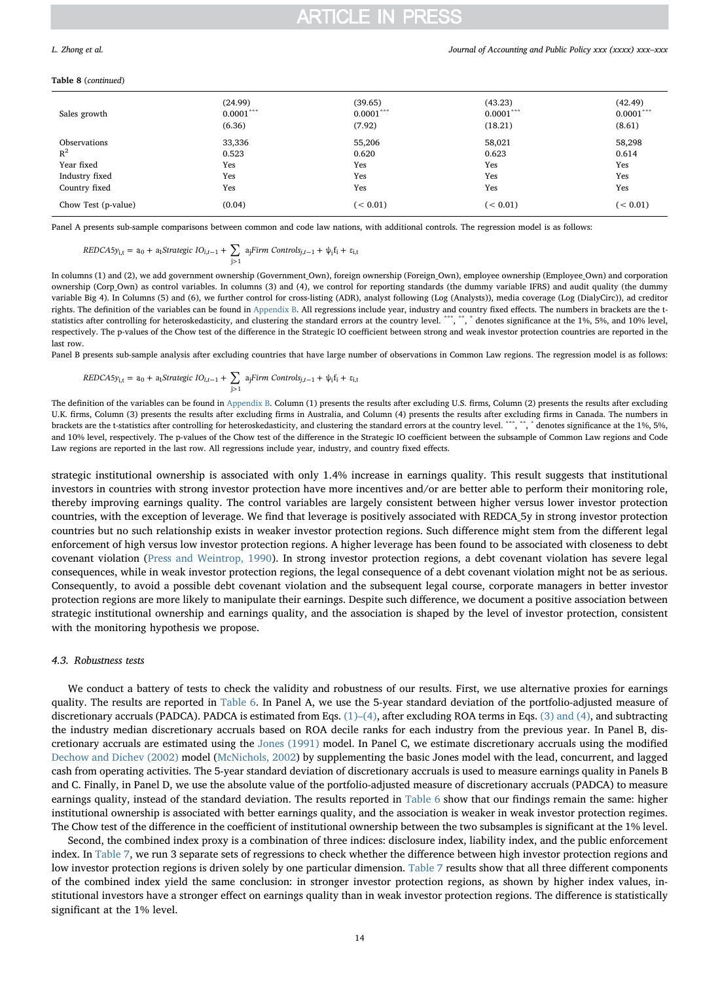#### Table 8 (continued)

| Sales growth        | (24.99)<br>$0.0001***$<br>(6.36) | (39.65)<br>$0.0001***$<br>(7.92) | (43.23)<br>$0.0001***$<br>(18.21) | (42.49)<br>$0.0001***$<br>(8.61) |
|---------------------|----------------------------------|----------------------------------|-----------------------------------|----------------------------------|
| Observations        | 33,336                           | 55,206                           | 58,021                            | 58,298                           |
| $R^2$               | 0.523                            | 0.620                            | 0.623                             | 0.614                            |
| Year fixed          | Yes                              | Yes                              | Yes                               | Yes                              |
| Industry fixed      | Yes                              | Yes                              | Yes                               | Yes                              |
| Country fixed       | Yes                              | Yes                              | Yes                               | Yes                              |
| Chow Test (p-value) | (0.04)                           | (< 0.01)                         | (< 0.01)                          | (< 0.01)                         |

Panel A presents sub-sample comparisons between common and code law nations, with additional controls. The regression model is as follows:

$$
\text{REDCA5y}_{i,t} = a_0 + a_1 \text{Strategyic IO}_{i,t-1} + \sum_{j>1} a_j \text{Firm Controls}_{j,t-1} + \psi_i f_i + \epsilon_{i,t}
$$

In columns (1) and (2), we add government ownership (Government Own), foreign ownership (Foreign Own), employee ownership (Employee Own) and corporation ownership (Corp\_Own) as control variables. In columns (3) and (4), we control for reporting standards (the dummy variable IFRS) and audit quality (the dummy variable Big 4). In Columns (5) and (6), we further control for cross-listing (ADR), analyst following (Log (Analysts)), media coverage (Log (DialyCirc)), ad creditor rights. The definition of the variables can be found in [Appendix B](#page-19-0). All regressions include year, industry and country fixed effects. The numbers in brackets are the tstatistics after controlling for heteroskedasticity, and clustering the standard errors at the country level. \*\*\*, \*\*, \* denotes significance at the 1%, 5%, and 10% level, respectively. The p-values of the Chow test of the difference in the Strategic IO coefficient between strong and weak investor protection countries are reported in the last row.

Panel B presents sub-sample analysis after excluding countries that have large number of observations in Common Law regions. The regression model is as follows:

$$
REDCASy_{i,t} = a_0 + a_1Strategyic IO_{i,t-1} + \sum_{j>1} a_j Firm\:Controls_{j,t-1} + \psi_i f_i + \varepsilon_{i,t}
$$

The definition of the variables can be found in [Appendix B](#page-19-0). Column (1) presents the results after excluding U.S. firms, Column (2) presents the results after excluding U.K. firms, Column (3) presents the results after excluding firms in Australia, and Column (4) presents the results after excluding firms in Canada. The numbers in brackets are the t-statistics after controlling for heteroskedasticity, and clustering the standard errors at the country level. \*\*\*, \*\*, \* denotes significance at the 1%, 5%, and 10% level, respectively. The p-values of the Chow test of the difference in the Strategic IO coefficient between the subsample of Common Law regions and Code Law regions are reported in the last row. All regressions include year, industry, and country fixed effects.

strategic institutional ownership is associated with only 1.4% increase in earnings quality. This result suggests that institutional investors in countries with strong investor protection have more incentives and/or are better able to perform their monitoring role, thereby improving earnings quality. The control variables are largely consistent between higher versus lower investor protection countries, with the exception of leverage. We find that leverage is positively associated with REDCA\_5y in strong investor protection countries but no such relationship exists in weaker investor protection regions. Such difference might stem from the different legal enforcement of high versus low investor protection regions. A higher leverage has been found to be associated with closeness to debt covenant violation ([Press and Weintrop, 1990\)](#page-21-34). In strong investor protection regions, a debt covenant violation has severe legal consequences, while in weak investor protection regions, the legal consequence of a debt covenant violation might not be as serious. Consequently, to avoid a possible debt covenant violation and the subsequent legal course, corporate managers in better investor protection regions are more likely to manipulate their earnings. Despite such difference, we document a positive association between strategic institutional ownership and earnings quality, and the association is shaped by the level of investor protection, consistent with the monitoring hypothesis we propose.

#### 4.3. Robustness tests

We conduct a battery of tests to check the validity and robustness of our results. First, we use alternative proxies for earnings quality. The results are reported in [Table 6.](#page-10-0) In Panel A, we use the 5-year standard deviation of the portfolio-adjusted measure of discretionary accruals (PADCA). PADCA is estimated from Eqs. [\(1\)](#page-4-5)–(4), after excluding ROA terms in Eqs. [\(3\) and \(4\),](#page-4-6) and subtracting the industry median discretionary accruals based on ROA decile ranks for each industry from the previous year. In Panel B, discretionary accruals are estimated using the [Jones \(1991\)](#page-21-32) model. In Panel C, we estimate discretionary accruals using the modified [Dechow and Dichev \(2002\)](#page-21-35) model ([McNichols, 2002\)](#page-21-33) by supplementing the basic Jones model with the lead, concurrent, and lagged cash from operating activities. The 5-year standard deviation of discretionary accruals is used to measure earnings quality in Panels B and C. Finally, in Panel D, we use the absolute value of the portfolio-adjusted measure of discretionary accruals (PADCA) to measure earnings quality, instead of the standard deviation. The results reported in [Table 6](#page-10-0) show that our findings remain the same: higher institutional ownership is associated with better earnings quality, and the association is weaker in weak investor protection regimes. The Chow test of the difference in the coefficient of institutional ownership between the two subsamples is significant at the 1% level.

Second, the combined index proxy is a combination of three indices: disclosure index, liability index, and the public enforcement index. In [Table 7](#page-11-2), we run 3 separate sets of regressions to check whether the difference between high investor protection regions and low investor protection regions is driven solely by one particular dimension. [Table 7](#page-11-2) results show that all three different components of the combined index yield the same conclusion: in stronger investor protection regions, as shown by higher index values, institutional investors have a stronger effect on earnings quality than in weak investor protection regions. The difference is statistically significant at the 1% level.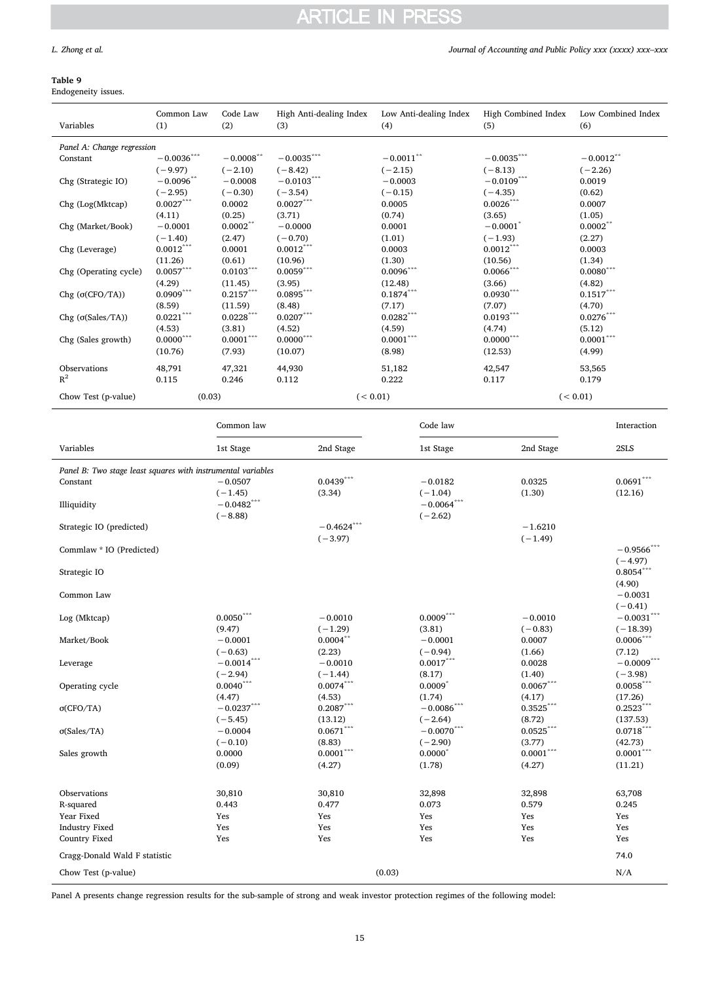### <span id="page-14-0"></span>Table 9

Endogeneity issues.

| Variables                                                    | Common Law<br>(1)      | Code Law<br>(2)         | High Anti-dealing Index<br>(3) | Low Anti-dealing Index<br>(4) | High Combined Index<br>(5) | Low Combined Index<br>(6)  |
|--------------------------------------------------------------|------------------------|-------------------------|--------------------------------|-------------------------------|----------------------------|----------------------------|
| Panel A: Change regression                                   |                        |                         |                                |                               |                            |                            |
| Constant                                                     | $-0.0036***$           | $-0.0008$               | $-0.0035$ ***                  | $-0.0011$ <sup>**</sup>       | $-0.0035$ ***              | $-0.0012$                  |
|                                                              | $(-9.97)$              | $(-2.10)$               | $(-8.42)$                      | $(-2.15)$                     | $(-8.13)$                  | $(-2.26)$                  |
| Chg (Strategic IO)                                           | $-0.0096$ **           | $-0.0008$               | $-0.0103***$                   | $-0.0003$                     | $-0.0109***$               | 0.0019                     |
|                                                              | $(-2.95)$              | $(-0.30)$               | $(-3.54)$                      | $(-0.15)$                     | $(-4.35)$                  | (0.62)                     |
| Chg (Log(Mktcap)                                             | 0.0027                 | 0.0002                  | $0.0027***$                    | 0.0005                        | 0.0026                     | 0.0007                     |
|                                                              | (4.11)                 | (0.25)                  | (3.71)                         | (0.74)                        | (3.65)                     | (1.05)                     |
| Chg (Market/Book)                                            | $-0.0001$              | $0.0002$ **             | $-0.0000$                      | 0.0001                        | $-0.0001$ <sup>*</sup>     | $0.0002$ **                |
|                                                              | $(-1.40)$              | (2.47)                  | $(-0.70)$                      | (1.01)                        | $(-1.93)$                  | (2.27)                     |
| Chg (Leverage)                                               | $0.0012***$            | 0.0001                  | $0.0012***$                    | 0.0003                        | $0.0012***$                | 0.0003                     |
|                                                              | (11.26)                | (0.61)                  | (10.96)                        | (1.30)                        | (10.56)                    | (1.34)                     |
| Chg (Operating cycle)                                        | $0.0057***$            | $0.0103***$             | $0.0059***$                    | $0.0096$ ***                  | $0.0066***$                | $0.0080$ ***               |
|                                                              | (4.29)                 | (11.45)                 | (3.95)                         | (12.48)                       | (3.66)                     | (4.82)                     |
| Chg $(\sigma(CFO/TA))$                                       | $0.0909***$            | $0.2157***$             | $0.0895***$                    | $0.1874***$                   | $0.0930***$                | $0.1517***$                |
| Chg $(\sigma(Sales/TA))$                                     | (8.59)<br>$0.0221$ *** | (11.59)<br>$0.0228$ *** | (8.48)<br>$0.0207***$          | (7.17)<br>0.0282              | (7.07)<br>$0.0193***$      | (4.70)<br>0.0276           |
|                                                              | (4.53)                 | (3.81)                  | (4.52)                         | (4.59)                        | (4.74)                     | (5.12)                     |
| Chg (Sales growth)                                           | $0.0000***$            | $0.0001^{\ast\ast\ast}$ | $0.0000^{***}$                 | $0.0001***$                   | $0.0000***$                | $0.0001***$                |
|                                                              | (10.76)                | (7.93)                  | (10.07)                        | (8.98)                        | (12.53)                    | (4.99)                     |
|                                                              |                        |                         |                                |                               |                            |                            |
| Observations                                                 | 48,791                 | 47,321                  | 44,930                         | 51,182                        | 42,547                     | 53,565                     |
| $R^2$                                                        | 0.115                  | 0.246                   | 0.112                          | 0.222                         | 0.117                      | 0.179                      |
| Chow Test (p-value)                                          | (0.03)                 |                         |                                | (< 0.01)                      |                            | (< 0.01)                   |
|                                                              |                        | Common law              |                                | Code law                      |                            | Interaction                |
| Variables                                                    |                        | 1st Stage               | 2nd Stage                      | 1st Stage                     | 2nd Stage                  | 2SLS                       |
| Panel B: Two stage least squares with instrumental variables |                        |                         |                                |                               |                            |                            |
| Constant                                                     |                        | $-0.0507$               | $0.0439***$                    | $-0.0182$                     | 0.0325                     | $0.0691***$                |
|                                                              |                        | $(-1.45)$               | (3.34)                         | $(-1.04)$                     | (1.30)                     | (12.16)                    |
| Illiquidity                                                  |                        | $-0.0482$ ***           |                                | $-0.0064$ ***                 |                            |                            |
|                                                              |                        | $(-8.88)$               |                                | $(-2.62)$                     |                            |                            |
| Strategic IO (predicted)                                     |                        |                         | $-0.4624***$                   |                               | $-1.6210$                  |                            |
|                                                              |                        |                         | $(-3.97)$                      |                               | $(-1.49)$                  |                            |
| Commlaw * IO (Predicted)                                     |                        |                         |                                |                               |                            | $-0.9566$ ***              |
|                                                              |                        |                         |                                |                               |                            | $(-4.97)$                  |
| Strategic IO                                                 |                        |                         |                                |                               |                            | 0.8054                     |
|                                                              |                        |                         |                                |                               |                            | (4.90)                     |
| Common Law                                                   |                        |                         |                                |                               |                            | $-0.0031$                  |
|                                                              |                        | $0.0050***$             | $-0.0010$                      | $0.0009***$                   | $-0.0010$                  | $(-0.41)$                  |
| Log (Mktcap)                                                 |                        | (9.47)                  | $(-1.29)$                      | (3.81)                        | $(-0.83)$                  | $-0.0031***$<br>$(-18.39)$ |
| Market/Book                                                  |                        | $-0.0001$               | 0.0004                         | $-0.0001$                     | 0.0007                     | $0.0006$ ***               |
|                                                              |                        | $(-0.63)$               | (2.23)                         | $(-0.94)$                     | (1.66)                     | (7.12)                     |
| Leverage                                                     |                        | $-0.0014***$            | $-0.0010$                      | 0.0017                        | 0.0028                     | $-0.0009$ ***              |
|                                                              |                        | $(-2.94)$               | $(-1.44)$                      | (8.17)                        | (1.40)                     | $(-3.98)$                  |
| Operating cycle                                              |                        | $0.0040***$             | $0.0074***$                    | $0.0009$ <sup>*</sup>         | $0.0067***$                | $0.0058***$                |
|                                                              |                        | (4.47)                  | (4.53)                         | (1.74)                        | (4.17)                     | (17.26)                    |
| $\sigma(CFO/TA)$                                             |                        | $-0.0237***$            | $0.2087***$                    | $-0.0086$ ***                 | $0.3525***$                | $0.2523***$                |
|                                                              |                        | $(-5.45)$               | (13.12)                        | $(-2.64)$                     | (8.72)                     | (137.53)                   |
| $\sigma(Sales/TA)$                                           |                        | $-0.0004$               | $0.0671***$                    | $-0.0070***$                  | $0.0525***$                | $0.0718***$                |
|                                                              |                        | $(-0.10)$               | (8.83)                         | $(-2.90)$                     | (3.77)                     | (42.73)                    |
| Sales growth                                                 |                        | 0.0000                  | $0.0001^{\ast\ast\ast}$        | $0.0000^{\degree}$            | $0.0001***$                | $0.0001***$                |
|                                                              |                        | (0.09)                  | (4.27)                         | (1.78)                        | (4.27)                     | (11.21)                    |
| Observations                                                 |                        | 30,810                  | 30,810                         | 32,898                        | 32,898                     | 63,708                     |
| R-squared                                                    |                        | 0.443                   | 0.477                          | 0.073                         | 0.579                      | 0.245                      |
| Year Fixed                                                   |                        | Yes                     | Yes                            | Yes                           | Yes                        | Yes                        |
| <b>Industry Fixed</b>                                        |                        | Yes                     | Yes                            | Yes                           | Yes                        | Yes                        |
| Country Fixed                                                |                        | Yes                     | Yes                            | Yes                           | Yes                        | Yes                        |
|                                                              |                        |                         |                                |                               |                            | 74.0                       |
| Cragg-Donald Wald F statistic                                |                        |                         |                                |                               |                            |                            |
| Chow Test (p-value)                                          |                        |                         |                                | (0.03)                        |                            | N/A                        |

Panel A presents change regression results for the sub-sample of strong and weak investor protection regimes of the following model: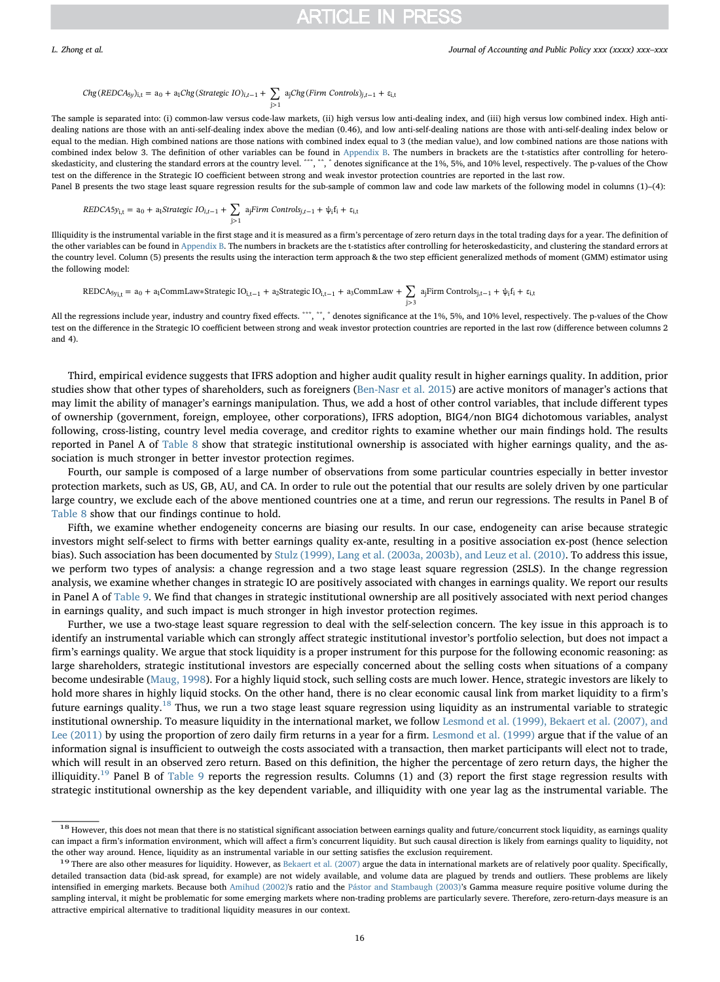$$
\mathit{Chg}\left(\mathit{REDCA}_{5y}\right)_{i,t}=a_0+a_1\mathit{Chg}\left(\mathit{Strategic~IO}\right)_{i,t-1}+\sum_{j>1}a_j\mathit{Chg}\left(\mathit{Firm~Controls}\right)_{j,t-1}+\epsilon_{i,t}
$$

The sample is separated into: (i) common-law versus code-law markets, (ii) high versus low anti-dealing index, and (iii) high versus low combined index. High antidealing nations are those with an anti-self-dealing index above the median (0.46), and low anti-self-dealing nations are those with anti-self-dealing index below or equal to the median. High combined nations are those nations with combined index equal to 3 (the median value), and low combined nations are those nations with combined index below 3. The definition of other variables can be found in [Appendix B](#page-19-0). The numbers in brackets are the t-statistics after controlling for heteroskedasticity, and clustering the standard errors at the country level. \*\*\*, \*\*, \* denotes significance at the 1%, 5%, and 10% level, respectively. The p-values of the Chow test on the difference in the Strategic IO coefficient between strong and weak investor protection countries are reported in the last row.

Panel B presents the two stage least square regression results for the sub-sample of common law and code law markets of the following model in columns (1)–(4):

$$
REDCA5y_{i,t} = a_0 + a_1Strategyic IO_{i,t-1} + \sum_{j>1} a_j Firm Controls_{j,t-1} + \psi_i f_i + \varepsilon_{i,t}
$$

Illiquidity is the instrumental variable in the first stage and it is measured as a firm's percentage of zero return days in the total trading days for a year. The definition of the other variables can be found in [Appendix B](#page-19-0). The numbers in brackets are the t-statistics after controlling for heteroskedasticity, and clustering the standard errors at the country level. Column (5) presents the results using the interaction term approach & the two step efficient generalized methods of moment (GMM) estimator using the following model:

$$
REDCA_{5y_{\hat{i},\hat{t}}}=a_0+a_{\hat{t}}CommLaw*StrategycIO_{\hat{i},\hat{t}-1}+a_2StrategycIO_{\hat{i},\hat{t}-1}+a_3CommLaw+\sum_{j>3} a_{\hat{i}}Firm\:Controls_{\hat{j},\hat{t}-1}+\psi_{\hat{i}}f_{\hat{i}}+\epsilon_{\hat{i},\hat{t}}+\epsilon_{\hat{i},\hat{t}}+\epsilon_{\hat{i},\hat{t}}+\epsilon_{\hat{i},\hat{t}}+\epsilon_{\hat{i},\hat{t}}+\epsilon_{\hat{i},\hat{t}}+\epsilon_{\hat{i},\hat{t}}+\epsilon_{\hat{i},\hat{t}}+\epsilon_{\hat{i},\hat{t}}+\epsilon_{\hat{i},\hat{t}}+\epsilon_{\hat{i},\hat{t}}+\epsilon_{\hat{i},\hat{t}}+\epsilon_{\hat{i},\hat{t}}+\epsilon_{\hat{i},\hat{t}}+\epsilon_{\hat{i},\hat{t}}+\epsilon_{\hat{i},\hat{t}}+\epsilon_{\hat{i},\hat{t}}+\epsilon_{\hat{i},\hat{t}}+\epsilon_{\hat{i},\hat{t}}+\epsilon_{\hat{i},\hat{t}}+\epsilon_{\hat{i},\hat{t}}+\epsilon_{\hat{i},\hat{t}}+\epsilon_{\hat{i},\hat{t}}+\epsilon_{\hat{i},\hat{t}}+\epsilon_{\hat{i},\hat{t}}+\epsilon_{\hat{i},\hat{t}}+\epsilon_{\hat{i},\hat{t}}+\epsilon_{\hat{i},\hat{t}}+\epsilon_{\hat{i},\hat{t}}+\epsilon_{\hat{i},\hat{t}}+\epsilon_{\hat{i},\hat{t}}+\epsilon_{\hat{i},\hat{t}}+\epsilon_{\hat{i},\hat{t}}+\epsilon_{\hat{i},\hat{t}}+\epsilon_{\hat{i},\hat{t}}+\epsilon_{\hat{i},\hat{t}}+\epsilon_{\hat{i},\hat{t}}+\epsilon_{\hat{i},\hat{t}}+\epsilon_{\hat{i},\hat{t}}+\epsilon_{\hat{i},\hat{t}}+\epsilon_{\hat{i},\hat{t}}+\epsilon_{\hat{i},\hat{t}}+\epsilon_{\hat{i},\hat{t}}+\epsilon_{\hat{i},\hat{t}}+\epsilon_{\hat{i},\hat{t}}+\epsilon_{\hat{i},\hat{t}}+\epsilon_{\hat{i},\hat{t}}+\epsilon_{\hat{i},\hat{t}}+\epsilon_{\hat{i},\hat{t}}+\epsilon_{\hat{i},\hat{t}}+\epsilon_{\hat{i},\hat{t}}+\epsilon_{\hat{i},\hat{t}}+\epsilon_{\hat{i},\hat{t}}+\epsilon_{\hat{i},\hat
$$

All the regressions include year, industry and country fixed effects. \*\*\*, \*\*, \* denotes significance at the 1%, 5%, and 10% level, respectively. The p-values of the Chow test on the difference in the Strategic IO coefficient between strong and weak investor protection countries are reported in the last row (difference between columns 2 and 4).

Third, empirical evidence suggests that IFRS adoption and higher audit quality result in higher earnings quality. In addition, prior studies show that other types of shareholders, such as foreigners [\(Ben-Nasr et al. 2015\)](#page-20-1) are active monitors of manager's actions that may limit the ability of manager's earnings manipulation. Thus, we add a host of other control variables, that include different types of ownership (government, foreign, employee, other corporations), IFRS adoption, BIG4/non BIG4 dichotomous variables, analyst following, cross-listing, country level media coverage, and creditor rights to examine whether our main findings hold. The results reported in Panel A of [Table 8](#page-12-0) show that strategic institutional ownership is associated with higher earnings quality, and the association is much stronger in better investor protection regimes.

Fourth, our sample is composed of a large number of observations from some particular countries especially in better investor protection markets, such as US, GB, AU, and CA. In order to rule out the potential that our results are solely driven by one particular large country, we exclude each of the above mentioned countries one at a time, and rerun our regressions. The results in Panel B of [Table 8](#page-12-0) show that our findings continue to hold.

Fifth, we examine whether endogeneity concerns are biasing our results. In our case, endogeneity can arise because strategic investors might self-select to firms with better earnings quality ex-ante, resulting in a positive association ex-post (hence selection bias). Such association has been documented by [Stulz \(1999\), Lang et al. \(2003a, 2003b\), and Leuz et al. \(2010\).](#page-21-36) To address this issue, we perform two types of analysis: a change regression and a two stage least square regression (2SLS). In the change regression analysis, we examine whether changes in strategic IO are positively associated with changes in earnings quality. We report our results in Panel A of [Table 9](#page-14-0). We find that changes in strategic institutional ownership are all positively associated with next period changes in earnings quality, and such impact is much stronger in high investor protection regimes.

Further, we use a two-stage least square regression to deal with the self-selection concern. The key issue in this approach is to identify an instrumental variable which can strongly affect strategic institutional investor's portfolio selection, but does not impact a firm's earnings quality. We argue that stock liquidity is a proper instrument for this purpose for the following economic reasoning: as large shareholders, strategic institutional investors are especially concerned about the selling costs when situations of a company become undesirable ([Maug, 1998\)](#page-21-37). For a highly liquid stock, such selling costs are much lower. Hence, strategic investors are likely to hold more shares in highly liquid stocks. On the other hand, there is no clear economic causal link from market liquidity to a firm's future earnings quality.<sup>[18](#page-15-0)</sup> Thus, we run a two stage least square regression using liquidity as an instrumental variable to strategic institutional ownership. To measure liquidity in the international market, we follow [Lesmond et al. \(1999\), Bekaert et al. \(2007\), and](#page-21-38) [Lee \(2011\)](#page-21-38) by using the proportion of zero daily firm returns in a year for a firm. [Lesmond et al. \(1999\)](#page-21-38) argue that if the value of an information signal is insufficient to outweigh the costs associated with a transaction, then market participants will elect not to trade, which will result in an observed zero return. Based on this definition, the higher the percentage of zero return days, the higher the illiquidity.<sup>[19](#page-15-1)</sup> Panel B of [Table 9](#page-14-0) reports the regression results. Columns (1) and (3) report the first stage regression results with strategic institutional ownership as the key dependent variable, and illiquidity with one year lag as the instrumental variable. The

<span id="page-15-0"></span><sup>&</sup>lt;sup>18</sup> However, this does not mean that there is no statistical significant association between earnings quality and future/concurrent stock liquidity, as earnings quality can impact a firm's information environment, which will affect a firm's concurrent liquidity. But such causal direction is likely from earnings quality to liquidity, not the other way around. Hence, liquidity as an instrumental variable in our setting satisfies the exclusion requirement.<br><sup>19</sup> There are also other measures for liquidity. However, as [Bekaert et al. \(2007\)](#page-20-11) argue the data in

<span id="page-15-1"></span>detailed transaction data (bid-ask spread, for example) are not widely available, and volume data are plagued by trends and outliers. These problems are likely intensified in emerging markets. Because both [Amihud \(2002\)](#page-20-12)'s ratio and the [Pástor and Stambaugh \(2003\)](#page-21-39)'s Gamma measure require positive volume during the sampling interval, it might be problematic for some emerging markets where non-trading problems are particularly severe. Therefore, zero-return-days measure is an attractive empirical alternative to traditional liquidity measures in our context.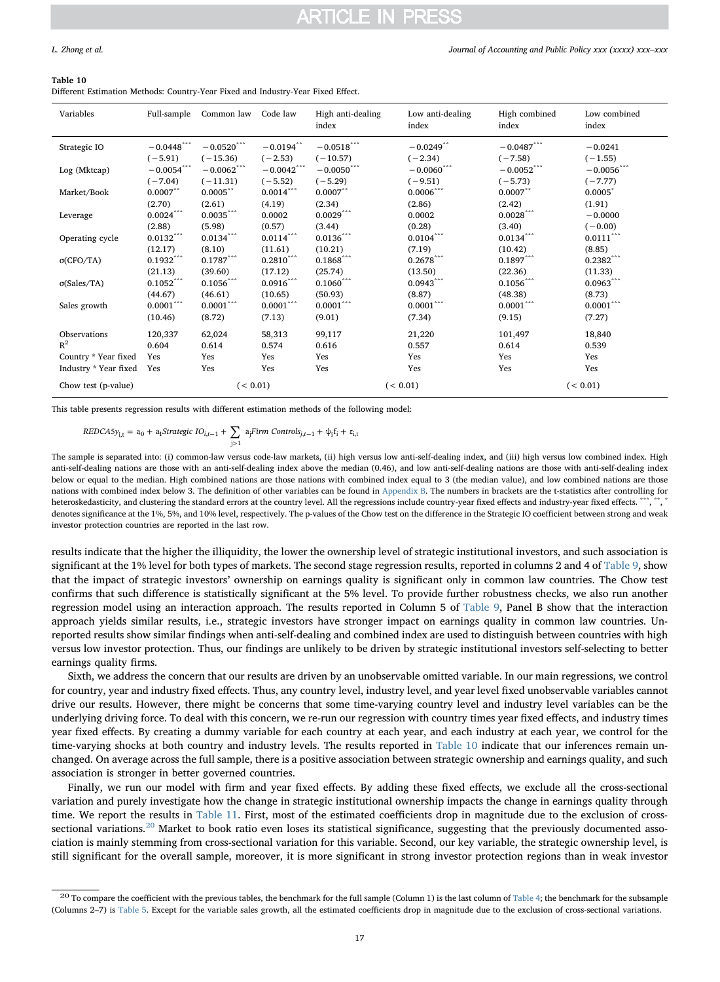#### <span id="page-16-0"></span>Table 10

Different Estimation Methods: Country-Year Fixed and Industry-Year Fixed Effect.

| Variables             | Full-sample                       | Common law Code law     |                         | High anti-dealing<br>index | Low anti-dealing<br>index | High combined<br>index  | Low combined<br>index             |
|-----------------------|-----------------------------------|-------------------------|-------------------------|----------------------------|---------------------------|-------------------------|-----------------------------------|
| Strategic IO          | $-0.0448$ ***                     | $-0.0520***$            | $-0.0194***$            | $-0.0518^{\ast\ast\ast}$   | $-0.0249**$               | $-0.0487***$            | $-0.0241$                         |
|                       | $(-5.91)$                         | $(-15.36)$              | $(-2.53)$               | $(-10.57)$                 | $(-2.34)$                 | $(-7.58)$               | $(-1.55)$                         |
| Log (Mktcap)          | $-0.0054^{***}\,$                 | $-0.0062$ ***           | $-0.0042$ ***           | $-0.0050$ ***              | $-0.0060$ ***             | $-0.0052***$            | $-0.0056^{\ast\ast\ast}$          |
|                       | $(-7.04)$                         | $(-11.31)$              | $(-5.52)$               | $(-5.29)$                  | $(-9.51)$                 | $(-5.73)$               | $(-7.77)$                         |
| Market/Book           | $0.0007***$                       | $0.0005$ **             | $0.0014***$             | $0.0007***$                | $0.0006***$               | $0.0007$ **             | $0.0005^{*}$                      |
|                       | (2.70)                            | (2.61)                  | (4.19)                  | (2.34)                     | (2.86)                    | (2.42)                  | (1.91)                            |
| Leverage              | $0.0024^{\ast\ast\ast}$           | $0.0035^{***}\,$        | 0.0002                  | $0.0029***$                | 0.0002                    | $0.0028^{\ast\ast\ast}$ | $-0.0000$                         |
|                       | (2.88)                            | (5.98)                  | (0.57)                  | (3.44)                     | (0.28)                    | (3.40)                  | $(-0.00)$                         |
| Operating cycle       | $0.0132^\ast{}^{\ast}{}^{\ast}{}$ | $0.0134^{***}\,$        | $0.0114***$             | $0.0136\sp{^{***}}$        | $0.0104^{***}\,$          | $0.0134^{***}\,$        | $0.0111^{\ast\ast\ast}$           |
|                       | (12.17)                           | (8.10)                  | (11.61)                 | (10.21)                    | (7.19)                    | (10.42)                 | (8.85)                            |
| $\sigma$ (CFO/TA)     | $0.1932^\ast{}^{\ast}{}^{\ast}{}$ | $0.1787^{\ast\ast\ast}$ | $0.2810***$             | $0.1868^{\ast\ast\ast}$    | $0.2678^{\ast\ast\ast}$   | $0.1897^{\ast\ast\ast}$ | $0.2382^\ast{}^{\ast}{}^{\ast}{}$ |
|                       | (21.13)                           | (39.60)                 | (17.12)                 | (25.74)                    | (13.50)                   | (22.36)                 | (11.33)                           |
| $\sigma(Sales/TA)$    | $0.1052^{\ast\ast\ast}$           | $0.1056^{\ast\ast\ast}$ | $0.0916^{\ast\ast\ast}$ | $0.1060^{\ast\ast\ast}$    | $0.0943^{\ast\ast\ast}$   | $0.1056^{\ast\ast\ast}$ | $0.0963^{\ast\ast\ast}$           |
|                       | (44.67)                           | (46.61)                 | (10.65)                 | (50.93)                    | (8.87)                    | (48.38)                 | (8.73)                            |
| Sales growth          | $0.0001^{\ast\ast\ast}$           | $0.0001***$             | $0.0001^{\ast\ast\ast}$ | $0.0001^{\ast\ast\ast}$    | $0.0001^{\ast\ast\ast}$   | $0.0001^{\ast\ast\ast}$ | $0.0001^{\ast\ast\ast}$           |
|                       | (10.46)                           | (8.72)                  | (7.13)                  | (9.01)                     | (7.34)                    | (9.15)                  | (7.27)                            |
| Observations          | 120,337                           | 62,024                  | 58,313                  | 99,117                     | 21,220                    | 101,497                 | 18,840                            |
| $R^2$                 | 0.604                             | 0.614                   | 0.574                   | 0.616                      | 0.557                     | 0.614                   | 0.539                             |
| Country * Year fixed  | Yes                               | Yes                     | Yes                     | Yes                        | Yes                       | Yes                     | Yes                               |
| Industry * Year fixed | Yes                               | Yes                     | Yes                     | Yes                        | Yes                       | Yes                     | Yes                               |
| Chow test (p-value)   |                                   | (< 0.01)                |                         |                            | (< 0.01)                  |                         | (< 0.01)                          |

This table presents regression results with different estimation methods of the following model:

$$
\textit{REDCA5y}_{i,t} = a_0 + a_1 \textit{Strategyic IO}_{i,t-1} + \sum_{j>1} a_j \textit{Firm Controls}_{j,t-1} + \psi_i f_i + \epsilon_{i,t}
$$

The sample is separated into: (i) common-law versus code-law markets, (ii) high versus low anti-self-dealing index, and (iii) high versus low combined index. High anti-self-dealing nations are those with an anti-self-dealing index above the median (0.46), and low anti-self-dealing nations are those with anti-self-dealing index below or equal to the median. High combined nations are those nations with combined index equal to 3 (the median value), and low combined nations are those nations with combined index below 3. The definition of other variables can be found in [Appendix B.](#page-19-0) The numbers in brackets are the t-statistics after controlling for heteroskedasticity, and clustering the standard errors at the country level. All the regressions include country-year fixed effects and industry-year fixed effects. \* denotes significance at the 1%, 5%, and 10% level, respectively. The p-values of the Chow test on the difference in the Strategic IO coefficient between strong and weak investor protection countries are reported in the last row.

results indicate that the higher the illiquidity, the lower the ownership level of strategic institutional investors, and such association is significant at the 1% level for both types of markets. The second stage regression results, reported in columns 2 and 4 of [Table 9,](#page-14-0) show that the impact of strategic investors' ownership on earnings quality is significant only in common law countries. The Chow test confirms that such difference is statistically significant at the 5% level. To provide further robustness checks, we also run another regression model using an interaction approach. The results reported in Column 5 of [Table 9,](#page-14-0) Panel B show that the interaction approach yields similar results, i.e., strategic investors have stronger impact on earnings quality in common law countries. Unreported results show similar findings when anti-self-dealing and combined index are used to distinguish between countries with high versus low investor protection. Thus, our findings are unlikely to be driven by strategic institutional investors self-selecting to better earnings quality firms.

Sixth, we address the concern that our results are driven by an unobservable omitted variable. In our main regressions, we control for country, year and industry fixed effects. Thus, any country level, industry level, and year level fixed unobservable variables cannot drive our results. However, there might be concerns that some time-varying country level and industry level variables can be the underlying driving force. To deal with this concern, we re-run our regression with country times year fixed effects, and industry times year fixed effects. By creating a dummy variable for each country at each year, and each industry at each year, we control for the time-varying shocks at both country and industry levels. The results reported in [Table 10](#page-16-0) indicate that our inferences remain unchanged. On average across the full sample, there is a positive association between strategic ownership and earnings quality, and such association is stronger in better governed countries.

Finally, we run our model with firm and year fixed effects. By adding these fixed effects, we exclude all the cross-sectional variation and purely investigate how the change in strategic institutional ownership impacts the change in earnings quality through time. We report the results in [Table 11.](#page-17-0) First, most of the estimated coefficients drop in magnitude due to the exclusion of cross-sectional variations.<sup>[20](#page-16-1)</sup> Market to book ratio even loses its statistical significance, suggesting that the previously documented association is mainly stemming from cross-sectional variation for this variable. Second, our key variable, the strategic ownership level, is still significant for the overall sample, moreover, it is more significant in strong investor protection regions than in weak investor

<span id="page-16-1"></span> $^{20}$  To compare the coefficient with the previous tables, the benchmark for the full sample (Column 1) is the last column of [Table 4;](#page-8-0) the benchmark for the subsample (Columns 2–7) is [Table 5.](#page-9-0) Except for the variable sales growth, all the estimated coefficients drop in magnitude due to the exclusion of cross-sectional variations.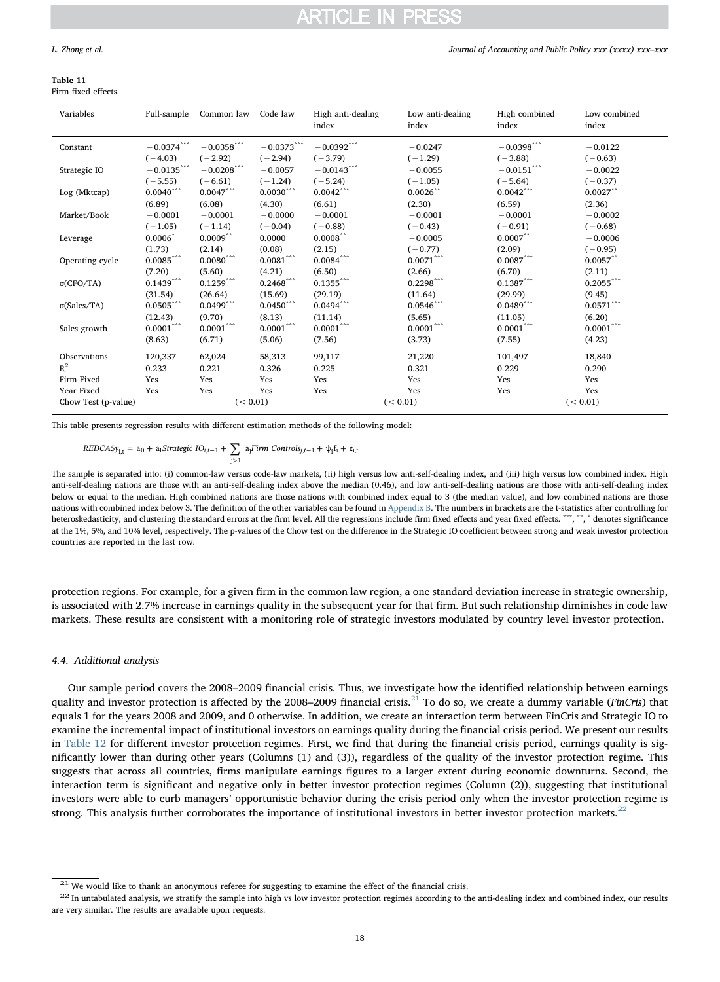<span id="page-17-0"></span>

| Table 11            |  |
|---------------------|--|
| Firm fixed effects. |  |

| Variables           | Full-sample             | Common law                        | Code law                | High anti-dealing<br>index | Low anti-dealing<br>index | High combined<br>index   | Low combined<br>index                     |
|---------------------|-------------------------|-----------------------------------|-------------------------|----------------------------|---------------------------|--------------------------|-------------------------------------------|
| Constant            | $-0.0374***$            | $-0.0358^{\ast\ast\ast}$          | $-0.0373***$            | $-0.0392^{***}\,$          | $-0.0247$                 | $-0.0398$ ***            | $-0.0122$                                 |
|                     | $(-4.03)$               | $(-2.92)$                         | $(-2.94)$               | $(-3.79)$                  | $(-1.29)$                 | $(-3.88)$                | $(-0.63)$                                 |
| Strategic IO        | $-0.0135^{***}\,$       | $-0.0208^{***}\,$                 | $-0.0057$               | $-0.0143^{***}\,$          | $-0.0055$                 | $-0.0151^{\ast\ast\ast}$ | $-0.0022$                                 |
|                     | $(-5.55)$               | $(-6.61)$                         | $(-1.24)$               | $(-5.24)$                  | $(-1.05)$                 | $(-5.64)$                | $(-0.37)$                                 |
| Log (Mktcap)        | $0.0040***$             | $0.0047^\ast{}^{\ast}{}^{\ast}{}$ | $0.0030^\mathrm{***}$   | $0.0042***$                | $0.0026^{\ast\ast}$       | $0.0042^\mathrm{***}$    | $0.0027^{\ast\ast}$                       |
|                     | (6.89)                  | (6.08)                            | (4.30)                  | (6.61)                     | (2.30)                    | (6.59)                   | (2.36)                                    |
| Market/Book         | $-0.0001$               | $-0.0001$                         | $-0.0000$               | $-0.0001$                  | $-0.0001$                 | $-0.0001$                | $-0.0002$                                 |
|                     | $(-1.05)$               | $(-1.14)$                         | $(-0.04)$               | $(-0.88)$                  | $(-0.43)$                 | $(-0.91)$                | $(-0.68)$                                 |
| Leverage            | 0.0006                  | $0.0009$ **                       | 0.0000                  | $0.0008$ **                | $-0.0005$                 | $0.0007***$              | $-0.0006$                                 |
|                     | (1.73)                  | (2.14)                            | (0.08)                  | (2.15)                     | $(-0.77)$                 | (2.09)                   | $(-0.95)$                                 |
| Operating cycle     | $0.0085***$             | $0.0080^\mathrm{***}$             | $0.0081^{\ast\ast\ast}$ | $0.0084***$                | $0.0071^{\ast\ast\ast}$   | $0.0087^\mathrm{***}$    | $0.0057^{\ast\ast}$                       |
|                     | (7.20)                  | (5.60)                            | (4.21)                  | (6.50)                     | (2.66)                    | (6.70)                   | (2.11)                                    |
| $\sigma(CFO/TA)$    | $0.1439***$             | $0.1259^{\ast\ast\ast}$           | $0.2468^{\ast\ast\ast}$ | $0.1355^{\ast\ast\ast}$    | $0.2298***$               | $0.1387^{\ast\ast\ast}$  | $0.2055^{\ast\ast\ast}$                   |
|                     | (31.54)                 | (26.64)                           | (15.69)                 | (29.19)                    | (11.64)                   | (29.99)                  | (9.45)                                    |
| $\sigma(Sales/TA)$  | $0.0505^{\ast\ast\ast}$ | $0.0499***$                       | $0.0450^\mathrm{***}$   | $0.0494***$                | $0.0546^{\ast\ast\ast}$   | $0.0489***$              | $0.0571***$                               |
|                     | (12.43)                 | (9.70)                            | (8.13)                  | (11.14)                    | (5.65)                    | (11.05)                  | (6.20)                                    |
| Sales growth        | $0.0001^{\ast\ast\ast}$ | $0.0001^{\ast\ast\ast}$           | $0.0001^{\ast\ast\ast}$ | $0.0001^{\ast\ast\ast}$    | $0.0001^{\ast\ast\ast}$   | $0.0001^\mathrm{***}$    | $0.0001$ $\hspace{-1.5mm}^{\ast\ast\ast}$ |
|                     | (8.63)                  | (6.71)                            | (5.06)                  | (7.56)                     | (3.73)                    | (7.55)                   | (4.23)                                    |
| Observations        | 120,337                 | 62,024                            | 58,313                  | 99,117                     | 21,220                    | 101,497                  | 18,840                                    |
| $R^2$               | 0.233                   | 0.221                             | 0.326                   | 0.225                      | 0.321                     | 0.229                    | 0.290                                     |
| Firm Fixed          | Yes                     | Yes                               | Yes                     | Yes                        | Yes                       | Yes                      | Yes                                       |
| Year Fixed          | Yes                     | Yes                               | Yes                     | Yes                        | Yes                       | Yes                      | Yes                                       |
| Chow Test (p-value) |                         | (< 0.01)                          |                         |                            | (< 0.01)                  |                          | (< 0.01)                                  |

This table presents regression results with different estimation methods of the following model:

 $REDCASy_{i,t} = a_0 + a_1StrategycIO_{i,t-1} + \sum_{j>1} a_j Firm Controls_{j,t-1} + \psi_i f_i + \varepsilon_{i,t}$ 

The sample is separated into: (i) common-law versus code-law markets, (ii) high versus low anti-self-dealing index, and (iii) high versus low combined index. High anti-self-dealing nations are those with an anti-self-dealing index above the median (0.46), and low anti-self-dealing nations are those with anti-self-dealing index below or equal to the median. High combined nations are those nations with combined index equal to 3 (the median value), and low combined nations are those nations with combined index below 3. The definition of the other variables can be found in [Appendix B.](#page-19-0) The numbers in brackets are the t-statistics after controlling for heteroskedasticity, and clustering the standard errors at the firm level. All the regressions include firm fixed effects and year fixed effects. \*\*\*, \*\*, \* denotes significance at the 1%, 5%, and 10% level, respectively. The p-values of the Chow test on the difference in the Strategic IO coefficient between strong and weak investor protection countries are reported in the last row.

protection regions. For example, for a given firm in the common law region, a one standard deviation increase in strategic ownership, is associated with 2.7% increase in earnings quality in the subsequent year for that firm. But such relationship diminishes in code law markets. These results are consistent with a monitoring role of strategic investors modulated by country level investor protection.

### 4.4. Additional analysis

Our sample period covers the 2008–2009 financial crisis. Thus, we investigate how the identified relationship between earnings quality and investor protection is affected by the 2008–2009 financial crisis.<sup>[21](#page-17-1)</sup> To do so, we create a dummy variable (*FinCris*) that equals 1 for the years 2008 and 2009, and 0 otherwise. In addition, we create an interaction term between FinCris and Strategic IO to examine the incremental impact of institutional investors on earnings quality during the financial crisis period. We present our results in [Table 12](#page-18-0) for different investor protection regimes. First, we find that during the financial crisis period, earnings quality is significantly lower than during other years (Columns (1) and (3)), regardless of the quality of the investor protection regime. This suggests that across all countries, firms manipulate earnings figures to a larger extent during economic downturns. Second, the interaction term is significant and negative only in better investor protection regimes (Column (2)), suggesting that institutional investors were able to curb managers' opportunistic behavior during the crisis period only when the investor protection regime is strong. This analysis further corroborates the importance of institutional investors in better investor protection markets.<sup>[22](#page-17-2)</sup>

<span id="page-17-2"></span><span id="page-17-1"></span> $^{21}$  We would like to thank an anonymous referee for suggesting to examine the effect of the financial crisis.<br> $^{22}$  In untabulated analysis, we stratify the sample into high vs low investor protection regimes accordin are very similar. The results are available upon requests.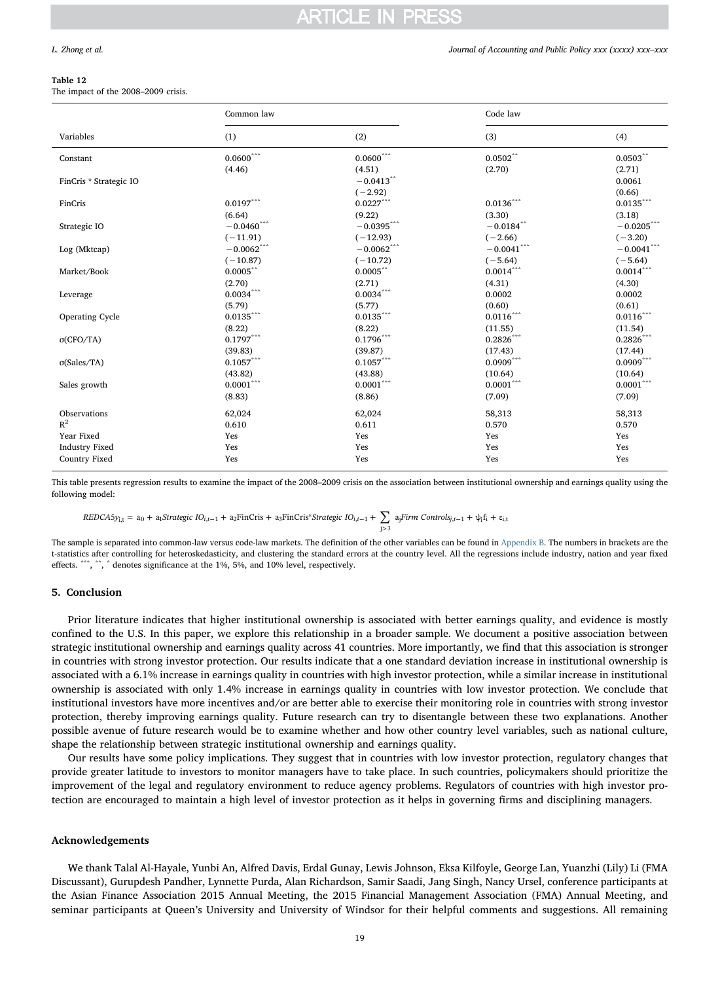#### <span id="page-18-0"></span>Table 12

The impact of the 2008–2009 crisis.

|                        | Common law              |                               | Code law                 |                          |
|------------------------|-------------------------|-------------------------------|--------------------------|--------------------------|
| Variables              | (1)                     | (2)                           | (3)                      | (4)                      |
| Constant               | $0.0600^{\ast\ast\ast}$ | $0.0600^{\ast\ast\ast}$       | $0.0502^{\ast\ast}$      | $0.0503^{\ast\ast}$      |
|                        | (4.46)                  | (4.51)                        | (2.70)                   | (2.71)                   |
| FinCris * Strategic IO |                         | $-0.0413^{**}\,$<br>$(-2.92)$ |                          | 0.0061<br>(0.66)         |
| FinCris                | $0.0197***$             | $0.0227***$                   | $0.0136^{\ast\ast\ast}$  | $0.0135^{\ast\ast\ast}$  |
|                        | (6.64)                  | (9.22)                        | (3.30)                   | (3.18)                   |
| Strategic IO           | $-0.0460^{***}\,$       | $- \, 0.0395^{***}$           | $-0.0184$ **             | $-0.0205^{***}\,$        |
|                        | $(-11.91)$              | $(-12.93)$                    | $(-2.66)$                | $(-3.20)$                |
| Log (Mktcap)           | $-0.0062^{***}\,$       | $-0.0062$ ***                 | $-0.0041^{\ast\ast\ast}$ | $-0.0041^{\ast\ast\ast}$ |
|                        | $(-10.87)$              | $(-10.72)$                    | $(-5.64)$                | $(-5.64)$                |
| Market/Book            | $0.0005***$             | $0.0005***$                   | $0.0014^{***}\,$         | $0.0014^{***}\,$         |
|                        | (2.70)                  | (2.71)                        | (4.31)                   | (4.30)                   |
| Leverage               | $0.0034^{***}\,$        | $0.0034^{\ast\ast\ast}$       | 0.0002                   | 0.0002                   |
|                        | (5.79)                  | (5.77)                        | (0.60)                   | (0.61)                   |
| Operating Cycle        | $0.0135***$             | $0.0135^{\ast\ast\ast}$       | $0.0116^{\ast\ast\ast}$  | $0.0116\sp{^{***}}$      |
|                        | (8.22)                  | (8.22)                        | (11.55)                  | (11.54)                  |
| $\sigma$ (CFO/TA)      | $0.1797^{\ast\ast\ast}$ | $0.1796***$                   | $0.2826\sp{***}$         | $0.2826***$              |
|                        | (39.83)                 | (39.87)                       | (17.43)                  | (17.44)                  |
| $\sigma(Sales/TA)$     | $0.1057^{\ast\ast\ast}$ | $0.1057^{\ast\ast\ast}$       | $0.0909***$              | $0.0909^{\ast\ast\ast}$  |
|                        | (43.82)                 | (43.88)                       | (10.64)                  | (10.64)                  |
| Sales growth           | $0.0001***$             | $0.0001***$                   | $0.0001^{\ast\ast\ast}$  | $0.0001^{\ast\ast\ast}$  |
|                        | (8.83)                  | (8.86)                        | (7.09)                   | (7.09)                   |
| Observations           | 62,024                  | 62,024                        | 58,313                   | 58,313                   |
| $R^2$                  | 0.610                   | 0.611                         | 0.570                    | 0.570                    |
| Year Fixed             | Yes                     | Yes                           | Yes                      | Yes                      |
| <b>Industry Fixed</b>  | Yes                     | Yes                           | Yes                      | Yes                      |
| Country Fixed          | Yes                     | Yes                           | Yes                      | Yes                      |

This table presents regression results to examine the impact of the 2008–2009 crisis on the association between institutional ownership and earnings quality using the following model:

 $REDCASy_{i,t} = a_0 + a_1Strategy$  *IO*<sub>*i*,t−1</sub> +  $a_2$ FinCris +  $a_3$ FinCris\*Strategic IO<sub>*i*,t−1</sub> +  $\sum a_j$ Firm Controls<sub>j,t−1</sub> +  $\psi_i$ ,f<sub>i</sub> +  $\varepsilon_{i,t}$ >  $j > 3$ 

The sample is separated into common-law versus code-law markets. The definition of the other variables can be found in [Appendix B.](#page-19-0) The numbers in brackets are the t-statistics after controlling for heteroskedasticity, and clustering the standard errors at the country level. All the regressions include industry, nation and year fixed effects. \*\*\*, \*\*, \* denotes significance at the 1%, 5%, and 10% level, respectively.

### 5. Conclusion

Prior literature indicates that higher institutional ownership is associated with better earnings quality, and evidence is mostly confined to the U.S. In this paper, we explore this relationship in a broader sample. We document a positive association between strategic institutional ownership and earnings quality across 41 countries. More importantly, we find that this association is stronger in countries with strong investor protection. Our results indicate that a one standard deviation increase in institutional ownership is associated with a 6.1% increase in earnings quality in countries with high investor protection, while a similar increase in institutional ownership is associated with only 1.4% increase in earnings quality in countries with low investor protection. We conclude that institutional investors have more incentives and/or are better able to exercise their monitoring role in countries with strong investor protection, thereby improving earnings quality. Future research can try to disentangle between these two explanations. Another possible avenue of future research would be to examine whether and how other country level variables, such as national culture, shape the relationship between strategic institutional ownership and earnings quality.

Our results have some policy implications. They suggest that in countries with low investor protection, regulatory changes that provide greater latitude to investors to monitor managers have to take place. In such countries, policymakers should prioritize the improvement of the legal and regulatory environment to reduce agency problems. Regulators of countries with high investor protection are encouraged to maintain a high level of investor protection as it helps in governing firms and disciplining managers.

### Acknowledgements

We thank Talal Al-Hayale, Yunbi An, Alfred Davis, Erdal Gunay, Lewis Johnson, Eksa Kilfoyle, George Lan, Yuanzhi (Lily) Li (FMA Discussant), Gurupdesh Pandher, Lynnette Purda, Alan Richardson, Samir Saadi, Jang Singh, Nancy Ursel, conference participants at the Asian Finance Association 2015 Annual Meeting, the 2015 Financial Management Association (FMA) Annual Meeting, and seminar participants at Queen's University and University of Windsor for their helpful comments and suggestions. All remaining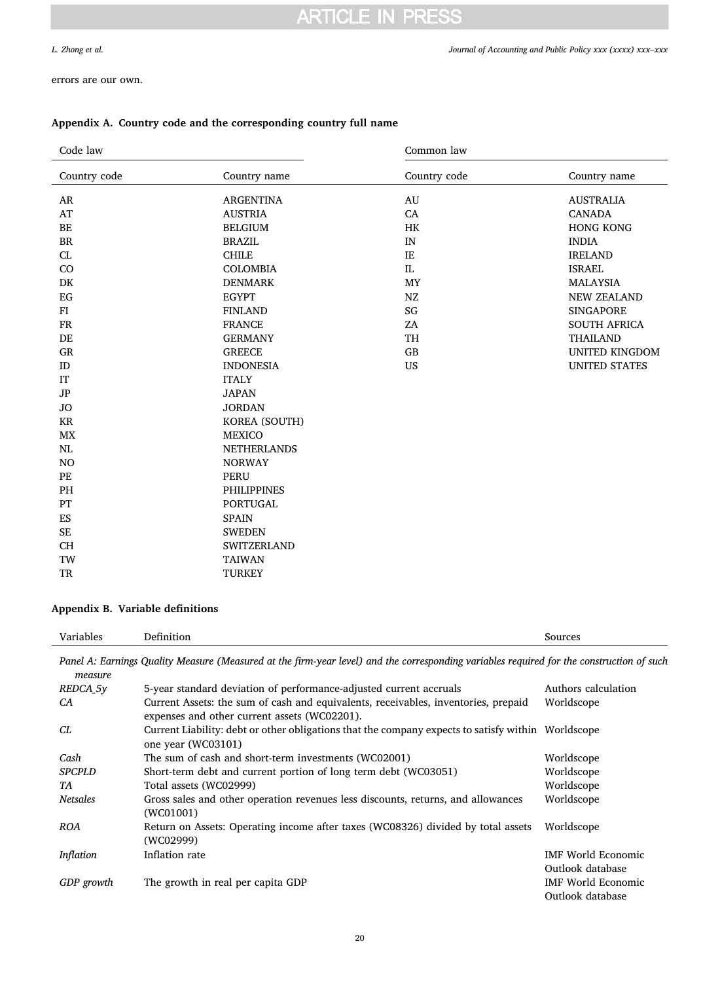errors are our own.

### <span id="page-19-1"></span>Appendix A. Country code and the corresponding country full name

| Code law     |                    | Common law   |                      |
|--------------|--------------------|--------------|----------------------|
| Country code | Country name       | Country code | Country name         |
| AR           | <b>ARGENTINA</b>   | AU           | <b>AUSTRALIA</b>     |
| AT           | <b>AUSTRIA</b>     | CA           | <b>CANADA</b>        |
| BE           | <b>BELGIUM</b>     | HK           | <b>HONG KONG</b>     |
| <b>BR</b>    | <b>BRAZIL</b>      | IN           | <b>INDIA</b>         |
| CL           | <b>CHILE</b>       | IE           | <b>IRELAND</b>       |
| CO           | <b>COLOMBIA</b>    | IL.          | <b>ISRAEL</b>        |
| DK           | <b>DENMARK</b>     | MY           | <b>MALAYSIA</b>      |
| $EG$         | <b>EGYPT</b>       | NZ           | <b>NEW ZEALAND</b>   |
| FI           | <b>FINLAND</b>     | SG           | <b>SINGAPORE</b>     |
| <b>FR</b>    | <b>FRANCE</b>      | ZA           | <b>SOUTH AFRICA</b>  |
| DE           | <b>GERMANY</b>     | <b>TH</b>    | <b>THAILAND</b>      |
| GR           | <b>GREECE</b>      | <b>GB</b>    | UNITED KINGDOM       |
| ID           | <b>INDONESIA</b>   | <b>US</b>    | <b>UNITED STATES</b> |
| IT           | <b>ITALY</b>       |              |                      |
| <b>JP</b>    | <b>JAPAN</b>       |              |                      |
| <b>JO</b>    | <b>JORDAN</b>      |              |                      |
| <b>KR</b>    | KOREA (SOUTH)      |              |                      |
| MX           | <b>MEXICO</b>      |              |                      |
| NL           | <b>NETHERLANDS</b> |              |                      |
| NO           | <b>NORWAY</b>      |              |                      |
| PE           | PERU               |              |                      |
| PH           | <b>PHILIPPINES</b> |              |                      |
| PT           | <b>PORTUGAL</b>    |              |                      |
| <b>ES</b>    | <b>SPAIN</b>       |              |                      |
| <b>SE</b>    | <b>SWEDEN</b>      |              |                      |
| CH           | SWITZERLAND        |              |                      |
| TW           | <b>TAIWAN</b>      |              |                      |
| TR           | <b>TURKEY</b>      |              |                      |

### <span id="page-19-0"></span>Appendix B. Variable definitions

| Variables | Definition | Sources |
|-----------|------------|---------|
|           |            | .       |
|           |            |         |

Panel A: Earnings Quality Measure (Measured at the firm-year level) and the corresponding variables required for the construction of such measure

| REDCA 5y        | 5-year standard deviation of performance-adjusted current accruals                                 | Authors calculation       |
|-----------------|----------------------------------------------------------------------------------------------------|---------------------------|
| CA              | Current Assets: the sum of cash and equivalents, receivables, inventories, prepaid                 | Worldscope                |
|                 | expenses and other current assets (WC02201).                                                       |                           |
| CL              | Current Liability: debt or other obligations that the company expects to satisfy within Worldscope |                           |
|                 | one year (WC03101)                                                                                 |                           |
| Cash            | The sum of cash and short-term investments (WC02001)                                               | Worldscope                |
| <b>SPCPLD</b>   | Short-term debt and current portion of long term debt (WC03051)                                    | Worldscope                |
| TA              | Total assets (WC02999)                                                                             | Worldscope                |
| <b>Netsales</b> | Gross sales and other operation revenues less discounts, returns, and allowances                   | Worldscope                |
|                 | (WC01001)                                                                                          |                           |
| ROA             | Return on Assets: Operating income after taxes (WC08326) divided by total assets                   | Worldscope                |
|                 | (WC02999)                                                                                          |                           |
| Inflation       | Inflation rate                                                                                     | <b>IMF World Economic</b> |
|                 |                                                                                                    | Outlook database          |
| GDP growth      | The growth in real per capita GDP                                                                  | <b>IMF World Economic</b> |
|                 |                                                                                                    | Outlook database          |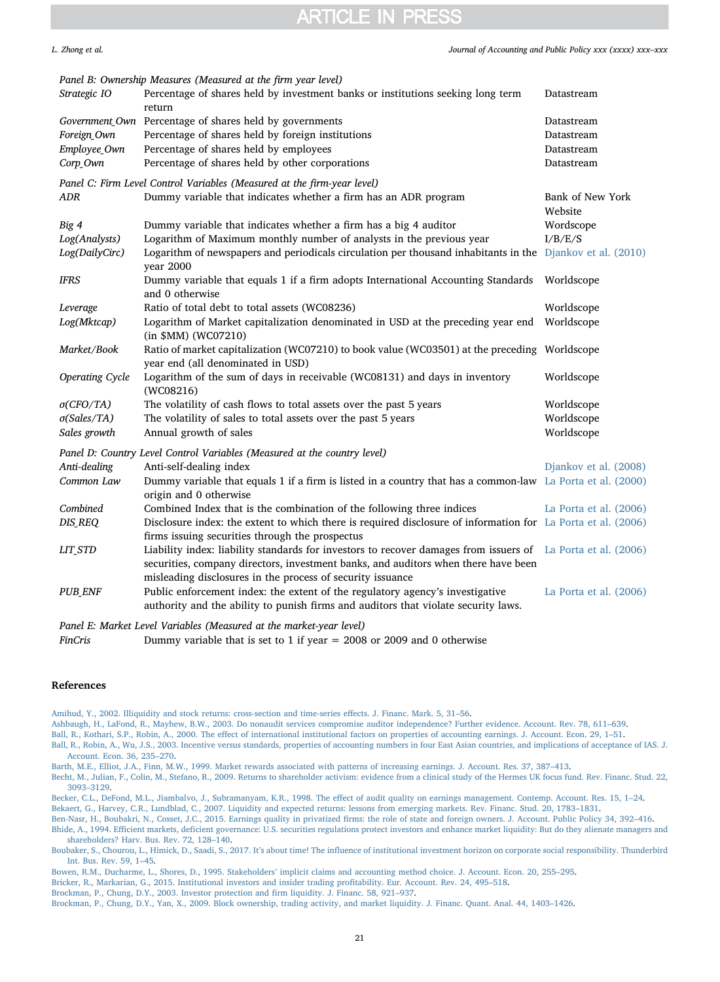|                    | Panel B: Ownership Measures (Measured at the firm year level)                                                                                                                                                                                                    |                             |
|--------------------|------------------------------------------------------------------------------------------------------------------------------------------------------------------------------------------------------------------------------------------------------------------|-----------------------------|
| Strategic IO       | Percentage of shares held by investment banks or institutions seeking long term<br>return                                                                                                                                                                        | Datastream                  |
|                    | Government_Own Percentage of shares held by governments                                                                                                                                                                                                          | Datastream                  |
| Foreign_Own        | Percentage of shares held by foreign institutions                                                                                                                                                                                                                | Datastream                  |
| Employee_Own       | Percentage of shares held by employees                                                                                                                                                                                                                           | Datastream                  |
| Corp_Own           | Percentage of shares held by other corporations                                                                                                                                                                                                                  | Datastream                  |
|                    | Panel C: Firm Level Control Variables (Measured at the firm-year level)                                                                                                                                                                                          |                             |
| ADR                | Dummy variable that indicates whether a firm has an ADR program                                                                                                                                                                                                  | Bank of New York<br>Website |
| Big 4              | Dummy variable that indicates whether a firm has a big 4 auditor                                                                                                                                                                                                 | Wordscope                   |
| Log(Analysts)      | Logarithm of Maximum monthly number of analysts in the previous year                                                                                                                                                                                             | I/B/E/S                     |
| Log(DailyCirc)     | Logarithm of newspapers and periodicals circulation per thousand inhabitants in the Djankov et al. (2010)<br>year 2000                                                                                                                                           |                             |
| <b>IFRS</b>        | Dummy variable that equals 1 if a firm adopts International Accounting Standards<br>and 0 otherwise                                                                                                                                                              | Worldscope                  |
| Leverage           | Ratio of total debt to total assets (WC08236)                                                                                                                                                                                                                    | Worldscope                  |
| Log(Mktcap)        | Logarithm of Market capitalization denominated in USD at the preceding year end<br>(in \$MM) (WC07210)                                                                                                                                                           | Worldscope                  |
| Market/Book        | Ratio of market capitalization (WC07210) to book value (WC03501) at the preceding Worldscope<br>year end (all denominated in USD)                                                                                                                                |                             |
| Operating Cycle    | Logarithm of the sum of days in receivable (WC08131) and days in inventory<br>(WC08216)                                                                                                                                                                          | Worldscope                  |
| $\sigma(CFO/TA)$   | The volatility of cash flows to total assets over the past 5 years                                                                                                                                                                                               | Worldscope                  |
| $\sigma(Sales/TA)$ | The volatility of sales to total assets over the past 5 years                                                                                                                                                                                                    | Worldscope                  |
| Sales growth       | Annual growth of sales                                                                                                                                                                                                                                           | Worldscope                  |
|                    | Panel D: Country Level Control Variables (Measured at the country level)                                                                                                                                                                                         |                             |
| Anti-dealing       | Anti-self-dealing index                                                                                                                                                                                                                                          | Djankov et al. (2008)       |
| Common Law         | Dummy variable that equals 1 if a firm is listed in a country that has a common-law La Porta et al. (2000)<br>origin and 0 otherwise                                                                                                                             |                             |
| Combined           | Combined Index that is the combination of the following three indices                                                                                                                                                                                            | La Porta et al. (2006)      |
| DIS REQ            | Disclosure index: the extent to which there is required disclosure of information for La Porta et al. (2006)<br>firms issuing securities through the prospectus                                                                                                  |                             |
| <b>LIT STD</b>     | Liability index: liability standards for investors to recover damages from issuers of La Porta et al. (2006)<br>securities, company directors, investment banks, and auditors when there have been<br>misleading disclosures in the process of security issuance |                             |
| <b>PUB ENF</b>     | Public enforcement index: the extent of the regulatory agency's investigative<br>authority and the ability to punish firms and auditors that violate security laws.                                                                                              | La Porta et al. (2006)      |
|                    | Panel E: Market Level Variables (Measured at the market-year level)                                                                                                                                                                                              |                             |
| FinCris            | Dummy variable that is set to 1 if year = 2008 or 2009 and 0 otherwise                                                                                                                                                                                           |                             |

### References

<span id="page-20-12"></span>[Amihud, Y., 2002. Illiquidity and stock returns: cross-section and time-series e](http://refhub.elsevier.com/S0278-4254(17)30068-6/h0005)ffects. J. Financ. Mark. 5, 31–56.

<span id="page-20-2"></span>[Ashbaugh, H., LaFond, R., Mayhew, B.W., 2003. Do nonaudit services compromise auditor independence? Further evidence. Account. Rev. 78, 611](http://refhub.elsevier.com/S0278-4254(17)30068-6/h0010)–639.

<span id="page-20-0"></span>Ball, R., Kothari, S.P., Robin, A., 2000. The eff[ect of international institutional factors on properties of accounting earnings. J. Account. Econ. 29, 1](http://refhub.elsevier.com/S0278-4254(17)30068-6/h0015)–51.

<span id="page-20-6"></span>[Ball, R., Robin, A., Wu, J.S., 2003. Incentive versus standards, properties of accounting numbers in four East Asian countries, and implications of acceptance of IAS. J.](http://refhub.elsevier.com/S0278-4254(17)30068-6/h0020) [Account. Econ. 36, 235](http://refhub.elsevier.com/S0278-4254(17)30068-6/h0020)–270.

<span id="page-20-10"></span>[Barth, M.E., Elliot, J.A., Finn, M.W., 1999. Market rewards associated with patterns of increasing earnings. J. Account. Res. 37, 387](http://refhub.elsevier.com/S0278-4254(17)30068-6/h0025)–413.

[Becht, M., Julian, F., Colin, M., Stefano, R., 2009. Returns to shareholder activism: evidence from a clinical study of the Hermes UK focus fund. Rev. Financ. Stud. 22,](http://refhub.elsevier.com/S0278-4254(17)30068-6/h0030) 3093–[3129.](http://refhub.elsevier.com/S0278-4254(17)30068-6/h0030)

<span id="page-20-11"></span><span id="page-20-9"></span>Becker, C.L., DeFond, M.L., Jiambalvo, J., Subramanyam, K.R., 1998. The eff[ect of audit quality on earnings management. Contemp. Account. Res. 15, 1](http://refhub.elsevier.com/S0278-4254(17)30068-6/h0035)–24. [Bekaert, G., Harvey, C.R., Lundblad, C., 2007. Liquidity and expected returns: lessons from emerging markets. Rev. Financ. Stud. 20, 1783](http://refhub.elsevier.com/S0278-4254(17)30068-6/h0040)–1831.

<span id="page-20-1"></span>[Ben-Nasr, H., Boubakri, N., Cosset, J.C., 2015. Earnings quality in privatized](http://refhub.elsevier.com/S0278-4254(17)30068-6/h0045) firms: the role of state and foreign owners. J. Account. Public Policy 34, 392–416. Bhide, A., 1994. Efficient markets, defi[cient governance: U.S. securities regulations protect investors and enhance market liquidity: But do they alienate managers and](http://refhub.elsevier.com/S0278-4254(17)30068-6/h0050)

<span id="page-20-4"></span>[shareholders? Harv. Bus. Rev. 72, 128](http://refhub.elsevier.com/S0278-4254(17)30068-6/h0050)–140. Boubaker, S., Chourou, L., Himick, D., Saadi, S., 2017. It's about time! The infl[uence of institutional investment horizon on corporate social responsibility. Thunderbird](http://refhub.elsevier.com/S0278-4254(17)30068-6/h0055) [Int. Bus. Rev. 59, 1](http://refhub.elsevier.com/S0278-4254(17)30068-6/h0055)–45.

<span id="page-20-7"></span>Bowen, R.M., Ducharme, L., Shores, D., 1995. Stakeholders' [implicit claims and accounting method choice. J. Account. Econ. 20, 255](http://refhub.elsevier.com/S0278-4254(17)30068-6/h0060)–295.

<span id="page-20-3"></span>[Bricker, R., Markarian, G., 2015. Institutional investors and insider trading pro](http://refhub.elsevier.com/S0278-4254(17)30068-6/h0065)fitability. Eur. Account. Rev. 24, 495–518.

<span id="page-20-8"></span>[Brockman, P., Chung, D.Y., 2003. Investor protection and](http://refhub.elsevier.com/S0278-4254(17)30068-6/h0070) firm liquidity. J. Financ. 58, 921–937.

<span id="page-20-5"></span>[Brockman, P., Chung, D.Y., Yan, X., 2009. Block ownership, trading activity, and market liquidity. J. Financ. Quant. Anal. 44, 1403](http://refhub.elsevier.com/S0278-4254(17)30068-6/h0075)–1426.